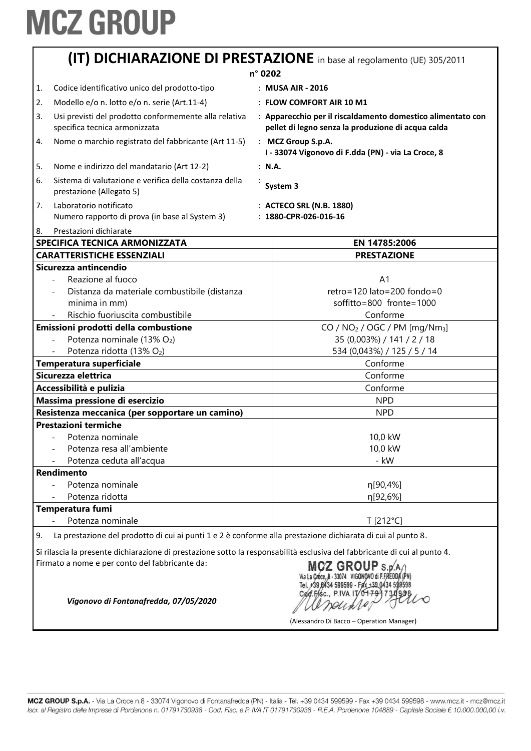|         | (IT) DICHIARAZIONE DI PRESTAZIONE in base al regolamento (UE) 305/2011                                                    |  |                                                                                                                   |
|---------|---------------------------------------------------------------------------------------------------------------------------|--|-------------------------------------------------------------------------------------------------------------------|
| n° 0202 |                                                                                                                           |  |                                                                                                                   |
| 1.      | Codice identificativo unico del prodotto-tipo                                                                             |  | : MUSA AIR - 2016                                                                                                 |
| 2.      | Modello e/o n. lotto e/o n. serie (Art.11-4)                                                                              |  | : FLOW COMFORT AIR 10 M1                                                                                          |
| 3.      | Usi previsti del prodotto conformemente alla relativa<br>specifica tecnica armonizzata                                    |  | : Apparecchio per il riscaldamento domestico alimentato con<br>pellet di legno senza la produzione di acqua calda |
| 4.      | Nome o marchio registrato del fabbricante (Art 11-5)                                                                      |  | : MCZ Group S.p.A.<br>I - 33074 Vigonovo di F.dda (PN) - via La Croce, 8                                          |
| 5.      | Nome e indirizzo del mandatario (Art 12-2)                                                                                |  | : N.A.                                                                                                            |
| 6.      | Sistema di valutazione e verifica della costanza della<br>prestazione (Allegato 5)                                        |  | System 3                                                                                                          |
| 7.      | Laboratorio notificato<br>Numero rapporto di prova (in base al System 3)                                                  |  | : ACTECO SRL (N.B. 1880)<br>: 1880-CPR-026-016-16                                                                 |
| 8.      | Prestazioni dichiarate                                                                                                    |  |                                                                                                                   |
|         | SPECIFICA TECNICA ARMONIZZATA<br><b>CARATTERISTICHE ESSENZIALI</b>                                                        |  | EN 14785:2006<br><b>PRESTAZIONE</b>                                                                               |
|         | Sicurezza antincendio                                                                                                     |  |                                                                                                                   |
|         | Reazione al fuoco                                                                                                         |  | A <sub>1</sub>                                                                                                    |
|         | Distanza da materiale combustibile (distanza                                                                              |  | $retro = 120$ lato=200 fondo=0                                                                                    |
|         | minima in mm)                                                                                                             |  | soffitto=800 fronte=1000                                                                                          |
|         | Rischio fuoriuscita combustibile                                                                                          |  | Conforme                                                                                                          |
|         | Emissioni prodotti della combustione                                                                                      |  | $CO / NO2 / OGC / PM [mg/Nm3]$                                                                                    |
|         | Potenza nominale (13% O2)                                                                                                 |  | 35 (0,003%) / 141 / 2 / 18                                                                                        |
|         | Potenza ridotta (13% O2)                                                                                                  |  | 534 (0,043%) / 125 / 5 / 14                                                                                       |
|         | Temperatura superficiale                                                                                                  |  | Conforme                                                                                                          |
|         | Sicurezza elettrica                                                                                                       |  | Conforme                                                                                                          |
|         | Accessibilità e pulizia                                                                                                   |  | Conforme                                                                                                          |
|         | Massima pressione di esercizio                                                                                            |  | <b>NPD</b>                                                                                                        |
|         | Resistenza meccanica (per sopportare un camino)                                                                           |  | <b>NPD</b>                                                                                                        |
|         | <b>Prestazioni termiche</b>                                                                                               |  |                                                                                                                   |
|         | Potenza nominale                                                                                                          |  | 10,0 kW                                                                                                           |
|         | Potenza resa all'ambiente                                                                                                 |  | 10,0 kW                                                                                                           |
|         | Potenza ceduta all'acqua                                                                                                  |  | - kW                                                                                                              |
|         | <b>Rendimento</b>                                                                                                         |  |                                                                                                                   |
|         | Potenza nominale                                                                                                          |  | η[90,4%]                                                                                                          |
|         | Potenza ridotta                                                                                                           |  | η[92,6%]                                                                                                          |
|         | Temperatura fumi                                                                                                          |  |                                                                                                                   |
|         | Potenza nominale                                                                                                          |  | T [212°C]                                                                                                         |
| 9.      | La prestazione del prodotto di cui ai punti 1 e 2 è conforme alla prestazione dichiarata di cui al punto 8.               |  |                                                                                                                   |
|         | Si rilascia la presente dichiarazione di prestazione sotto la responsabilità esclusiva del fabbricante di cui al punto 4. |  |                                                                                                                   |

Firmato a nome e per conto del fabbricante da:

MCZ GROUP S.p.A.<br>Via La Croce, 8 - 33074 VIGONOVO di F.FREDDA (PN)<br>Tel. +39 8434 599599 - Fax +39 0434 589598<br>Cod. F/sc., P.IVA 170+793734928 Lo Deuxle

(Alessandro Di Bacco – Operation Manager)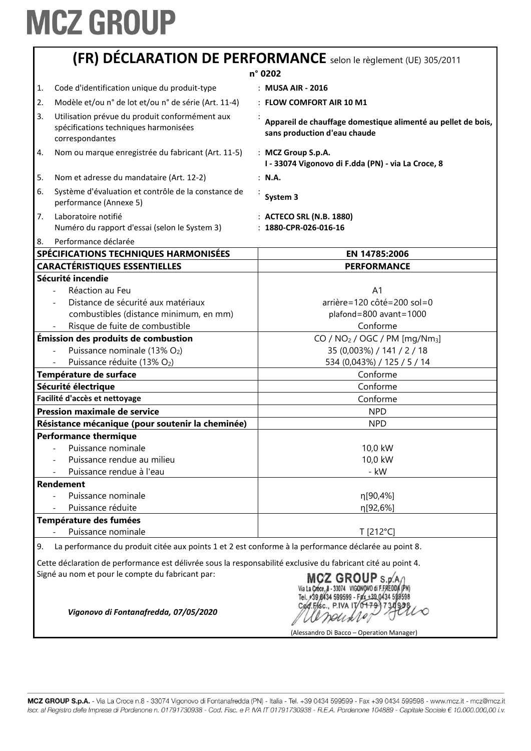|          | <b>(FR) DÉCLARATION DE PERFORMANCE</b> selon le règlement (UE) 305/2011                                    |                                                                                              |  |
|----------|------------------------------------------------------------------------------------------------------------|----------------------------------------------------------------------------------------------|--|
|          | n° 0202                                                                                                    |                                                                                              |  |
| 1.       | Code d'identification unique du produit-type                                                               | : MUSA AIR - 2016                                                                            |  |
| 2.       | Modèle et/ou n° de lot et/ou n° de série (Art. 11-4)                                                       | : FLOW COMFORT AIR 10 M1                                                                     |  |
| 3.       | Utilisation prévue du produit conformément aux<br>spécifications techniques harmonisées<br>correspondantes | Appareil de chauffage domestique alimenté au pellet de bois,<br>sans production d'eau chaude |  |
| 4.       | Nom ou marque enregistrée du fabricant (Art. 11-5)                                                         | : MCZ Group S.p.A.<br>I - 33074 Vigonovo di F.dda (PN) - via La Croce, 8                     |  |
| 5.       | Nom et adresse du mandataire (Art. 12-2)                                                                   | : N.A.                                                                                       |  |
| 6.       | Système d'évaluation et contrôle de la constance de<br>performance (Annexe 5)                              | System 3                                                                                     |  |
| 7.<br>8. | Laboratoire notifié<br>Numéro du rapport d'essai (selon le System 3)<br>Performance déclarée               | : ACTECO SRL (N.B. 1880)<br>$: 1880$ -CPR-026-016-16                                         |  |
|          | SPÉCIFICATIONS TECHNIQUES HARMONISÉES                                                                      | EN 14785:2006                                                                                |  |
|          | <b>CARACTÉRISTIQUES ESSENTIELLES</b>                                                                       | <b>PERFORMANCE</b>                                                                           |  |
|          | Sécurité incendie                                                                                          |                                                                                              |  |
|          | Réaction au Feu                                                                                            | A <sub>1</sub>                                                                               |  |
|          | Distance de sécurité aux matériaux                                                                         | arrière=120 côté=200 sol=0                                                                   |  |
|          | combustibles (distance minimum, en mm)                                                                     | plafond=800 avant=1000                                                                       |  |
|          | Risque de fuite de combustible                                                                             | Conforme                                                                                     |  |
|          | Émission des produits de combustion                                                                        | CO / $NO2$ / OGC / PM [mg/Nm <sub>3</sub> ]                                                  |  |
|          | Puissance nominale (13% O2)                                                                                | 35 (0,003%) / 141 / 2 / 18                                                                   |  |
|          | Puissance réduite (13% O2)                                                                                 | 534 (0,043%) / 125 / 5 / 14                                                                  |  |
|          | Température de surface                                                                                     | Conforme                                                                                     |  |
|          | Sécurité électrique                                                                                        | Conforme                                                                                     |  |
|          | Facilité d'accès et nettoyage                                                                              | Conforme                                                                                     |  |
|          | <b>Pression maximale de service</b>                                                                        | <b>NPD</b>                                                                                   |  |
|          | Résistance mécanique (pour soutenir la cheminée)                                                           | <b>NPD</b>                                                                                   |  |
|          | <b>Performance thermique</b>                                                                               |                                                                                              |  |
|          | Puissance nominale                                                                                         | 10,0 kW                                                                                      |  |
|          | Puissance rendue au milieu                                                                                 | 10,0 kW                                                                                      |  |
|          | Puissance rendue à l'eau                                                                                   | - kW                                                                                         |  |
|          | <b>Rendement</b>                                                                                           |                                                                                              |  |
|          | Puissance nominale                                                                                         | η[90,4%]                                                                                     |  |
|          | Puissance réduite                                                                                          | η[92,6%]                                                                                     |  |
|          | Température des fumées                                                                                     |                                                                                              |  |
|          | Puissance nominale                                                                                         | T [212°C]                                                                                    |  |
| 9.       | La performance du produit citée aux points 1 et 2 est conforme à la performance déclarée au point 8.       |                                                                                              |  |

Cette déclaration de performance est délivrée sous la responsabilité exclusive du fabricant cité au point 4.<br>
Signé au nom et pour le compte du fabricant par:<br>
Via La Croce, B - 33074 VIGONOVO di F.FREDDA (PN)<br>
Via La Cro Signé au nom et pour le compte du fabricant par:

andister

(Alessandro Di Bacco – Operation Manager)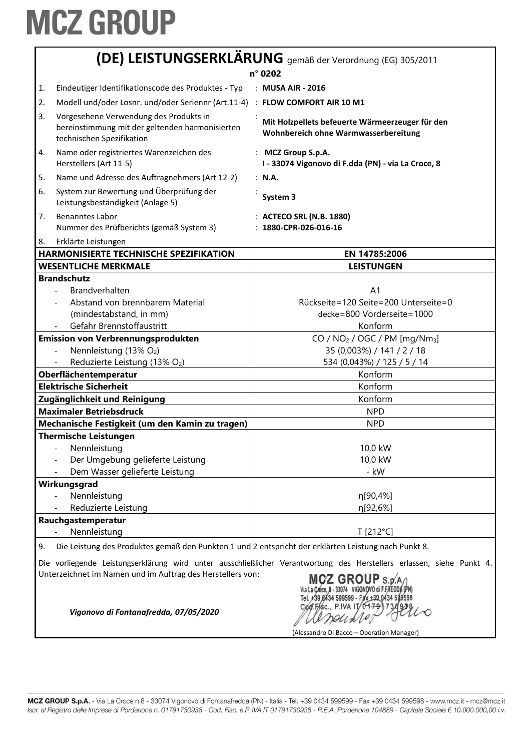|                                                                                                                                                                                                                                                                                                            | (DE) LEISTUNGSERKLÄRUNG gemäß der Verordnung (EG) 305/2011                                                             |                                                                                         |  |
|------------------------------------------------------------------------------------------------------------------------------------------------------------------------------------------------------------------------------------------------------------------------------------------------------------|------------------------------------------------------------------------------------------------------------------------|-----------------------------------------------------------------------------------------|--|
|                                                                                                                                                                                                                                                                                                            |                                                                                                                        | n° 0202                                                                                 |  |
| 1.                                                                                                                                                                                                                                                                                                         | Eindeutiger Identifikationscode des Produktes - Typ                                                                    | : MUSA AIR - 2016                                                                       |  |
| 2.                                                                                                                                                                                                                                                                                                         | Modell und/oder Losnr. und/oder Seriennr (Art.11-4) : FLOW COMFORT AIR 10 M1                                           |                                                                                         |  |
| 3.                                                                                                                                                                                                                                                                                                         | Vorgesehene Verwendung des Produkts in<br>bereinstimmung mit der geltenden harmonisierten<br>technischen Spezifikation | Mit Holzpellets befeuerte Wärmeerzeuger für den<br>Wohnbereich ohne Warmwasserbereitung |  |
| 4.                                                                                                                                                                                                                                                                                                         | Name oder registriertes Warenzeichen des<br>Herstellers (Art 11-5)                                                     | : MCZ Group S.p.A.<br>I - 33074 Vigonovo di F.dda (PN) - via La Croce, 8                |  |
| 5.                                                                                                                                                                                                                                                                                                         | Name und Adresse des Auftragnehmers (Art 12-2)                                                                         | : N.A.                                                                                  |  |
| 6.                                                                                                                                                                                                                                                                                                         | System zur Bewertung und Überprüfung der<br>Leistungsbeständigkeit (Anlage 5)                                          | System 3                                                                                |  |
| 7.                                                                                                                                                                                                                                                                                                         | <b>Benanntes Labor</b><br>Nummer des Prüfberichts (gemäß System 3)                                                     | : ACTECO SRL (N.B. 1880)<br>$: 1880$ -CPR-026-016-16                                    |  |
| 8.                                                                                                                                                                                                                                                                                                         | Erklärte Leistungen                                                                                                    |                                                                                         |  |
|                                                                                                                                                                                                                                                                                                            | <b>HARMONISIERTE TECHNISCHE SPEZIFIKATION</b>                                                                          | EN 14785:2006                                                                           |  |
|                                                                                                                                                                                                                                                                                                            | <b>WESENTLICHE MERKMALE</b>                                                                                            | <b>LEISTUNGEN</b>                                                                       |  |
|                                                                                                                                                                                                                                                                                                            | <b>Brandschutz</b>                                                                                                     |                                                                                         |  |
|                                                                                                                                                                                                                                                                                                            | Brandverhalten<br>Abstand von brennbarem Material                                                                      | A <sub>1</sub><br>Rückseite=120 Seite=200 Unterseite=0                                  |  |
|                                                                                                                                                                                                                                                                                                            | (mindestabstand, in mm)                                                                                                | decke=800 Vorderseite=1000                                                              |  |
|                                                                                                                                                                                                                                                                                                            | Gefahr Brennstoffaustritt                                                                                              | Konform                                                                                 |  |
|                                                                                                                                                                                                                                                                                                            | <b>Emission von Verbrennungsprodukten</b>                                                                              | $CO / NO2 / OGC / PM [mg/Nm3]$                                                          |  |
|                                                                                                                                                                                                                                                                                                            | Nennleistung (13% O2)                                                                                                  | 35 (0,003%) / 141 / 2 / 18                                                              |  |
|                                                                                                                                                                                                                                                                                                            | Reduzierte Leistung (13% O2)                                                                                           | 534 (0,043%) / 125 / 5 / 14                                                             |  |
|                                                                                                                                                                                                                                                                                                            | Oberflächentemperatur                                                                                                  | Konform                                                                                 |  |
|                                                                                                                                                                                                                                                                                                            | <b>Elektrische Sicherheit</b>                                                                                          | Konform                                                                                 |  |
|                                                                                                                                                                                                                                                                                                            | Zugänglichkeit und Reinigung                                                                                           | Konform                                                                                 |  |
|                                                                                                                                                                                                                                                                                                            | <b>Maximaler Betriebsdruck</b>                                                                                         | <b>NPD</b>                                                                              |  |
|                                                                                                                                                                                                                                                                                                            | Mechanische Festigkeit (um den Kamin zu tragen)                                                                        | <b>NPD</b>                                                                              |  |
|                                                                                                                                                                                                                                                                                                            | <b>Thermische Leistungen</b>                                                                                           |                                                                                         |  |
|                                                                                                                                                                                                                                                                                                            | Nennleistung                                                                                                           | 10,0 kW                                                                                 |  |
|                                                                                                                                                                                                                                                                                                            | Der Umgebung gelieferte Leistung                                                                                       | 10,0 kW                                                                                 |  |
|                                                                                                                                                                                                                                                                                                            | Dem Wasser gelieferte Leistung                                                                                         | - kW                                                                                    |  |
|                                                                                                                                                                                                                                                                                                            | Wirkungsgrad                                                                                                           |                                                                                         |  |
|                                                                                                                                                                                                                                                                                                            | Nennleistung                                                                                                           | η[90,4%]                                                                                |  |
|                                                                                                                                                                                                                                                                                                            | Reduzierte Leistung                                                                                                    | η[92,6%]                                                                                |  |
|                                                                                                                                                                                                                                                                                                            | Rauchgastemperatur                                                                                                     |                                                                                         |  |
|                                                                                                                                                                                                                                                                                                            | Nennleistung                                                                                                           | T [212°C]                                                                               |  |
| 9.                                                                                                                                                                                                                                                                                                         | Die Leistung des Produktes gemäß den Punkten 1 und 2 entspricht der erklärten Leistung nach Punkt 8.                   |                                                                                         |  |
| Die vorliegende Leistungserklärung wird unter ausschließlicher Verantwortung des Herstellers erlassen, siehe Punkt 4.<br>Unterzeichnet im Namen und im Auftrag des Herstellers von:<br>MCZ GROUP S.D.A.<br>Via La Croce, B - 33074 VIGONOVO di F.FREDDA (PN)<br>Tel. +39 0434 599599 - Fax +39 0434 599598 |                                                                                                                        |                                                                                         |  |

*Vigonovo di Fontanafredda, 07/05/2020*

Contre Pivale Pillo

(Alessandro Di Bacco – Operation Manager)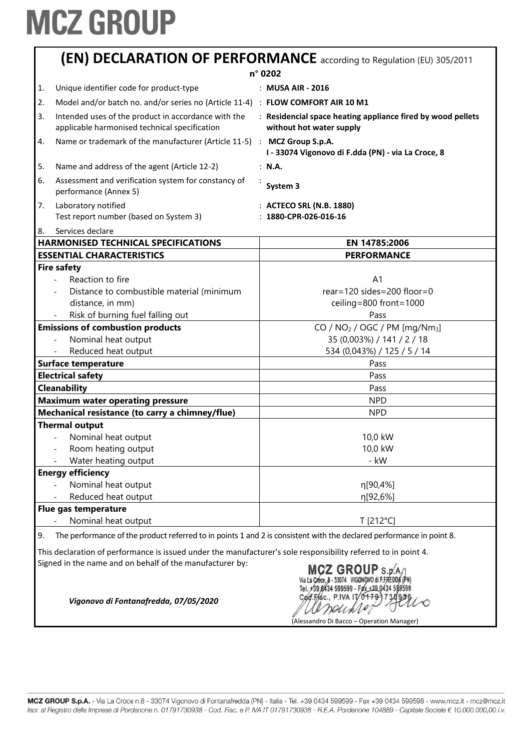|    | (EN) DECLARATION OF PERFORMANCE according to Regulation (EU) 305/2011                                |  |                                                                                         |  |  |
|----|------------------------------------------------------------------------------------------------------|--|-----------------------------------------------------------------------------------------|--|--|
|    | n° 0202                                                                                              |  |                                                                                         |  |  |
| 1. | Unique identifier code for product-type                                                              |  | : MUSA AIR - 2016                                                                       |  |  |
| 2. | Model and/or batch no. and/or series no (Article 11-4) : FLOW COMFORT AIR 10 M1                      |  |                                                                                         |  |  |
| 3. | Intended uses of the product in accordance with the<br>applicable harmonised technical specification |  | : Residencial space heating appliance fired by wood pellets<br>without hot water supply |  |  |
| 4. | Name or trademark of the manufacturer (Article 11-5) : MCZ Group S.p.A.                              |  | I - 33074 Vigonovo di F.dda (PN) - via La Croce, 8                                      |  |  |
| 5. | Name and address of the agent (Article 12-2)                                                         |  | : N.A.                                                                                  |  |  |
| 6. | Assessment and verification system for constancy of<br>performance (Annex 5)                         |  | System 3                                                                                |  |  |
| 7. | Laboratory notified                                                                                  |  | : ACTECO SRL (N.B. 1880)                                                                |  |  |
|    | Test report number (based on System 3)                                                               |  | $: 1880$ -CPR-026-016-16                                                                |  |  |
| 8. | Services declare                                                                                     |  |                                                                                         |  |  |
|    | <b>HARMONISED TECHNICAL SPECIFICATIONS</b>                                                           |  | EN 14785:2006                                                                           |  |  |
|    | <b>ESSENTIAL CHARACTERISTICS</b>                                                                     |  | <b>PERFORMANCE</b>                                                                      |  |  |
|    | <b>Fire safety</b>                                                                                   |  |                                                                                         |  |  |
|    | Reaction to fire                                                                                     |  | A <sub>1</sub>                                                                          |  |  |
|    | Distance to combustible material (minimum                                                            |  | $rear = 120 sides = 200 floor = 0$                                                      |  |  |
|    | distance, in mm)                                                                                     |  | ceiling=800 front=1000                                                                  |  |  |
|    | Risk of burning fuel falling out                                                                     |  | Pass                                                                                    |  |  |
|    | <b>Emissions of combustion products</b>                                                              |  | $CO / NO2 / OGC / PM [mg/Nm3]$                                                          |  |  |
|    | Nominal heat output                                                                                  |  | 35 (0,003%) / 141 / 2 / 18                                                              |  |  |
|    | Reduced heat output                                                                                  |  | 534 (0,043%) / 125 / 5 / 14                                                             |  |  |

| <b>INVITIMAL LIGAL OULDUL</b>                   | 01 / 2 / 1 <del>1 1</del> 1 / 10/ 500,01 |
|-------------------------------------------------|------------------------------------------|
| Reduced heat output                             | 534 (0,043%) / 125 / 5 / 14              |
| <b>Surface temperature</b>                      | Pass                                     |
| <b>Electrical safety</b>                        | Pass                                     |
| <b>Cleanability</b>                             | Pass                                     |
| <b>Maximum water operating pressure</b>         | <b>NPD</b>                               |
| Mechanical resistance (to carry a chimney/flue) | <b>NPD</b>                               |
| <b>Thermal output</b>                           |                                          |
| Nominal heat output                             | 10,0 kW                                  |
| Room heating output                             | 10,0 kW                                  |
| Water heating output                            | - kW                                     |
| <b>Energy efficiency</b>                        |                                          |
| Nominal heat output                             | η[90,4%]                                 |
| Reduced heat output                             | n[92,6%]                                 |
| Flue gas temperature                            |                                          |
| Nominal heat output                             | T [212°C]                                |

9. The performance of the product referred to in points 1 and 2 is consistent with the declared performance in point 8.

This declaration of performance is issued under the manufacturer's sole responsibility referred to in point 4. Signed in the name and on behalf of the manufacturer by:

MCZ GROUP  $s.p.A$ Via La Croce, 8 - 33074 VIGONOVO di F.FREDDA (PN) Tel. #39,8434 599599 - Fax +39,0434 599598 Cod.Fisc., P.IVA IT/  $6179$  $1730$  $9/31$ Densie (Alessandro Di Bacco – Operation Manager)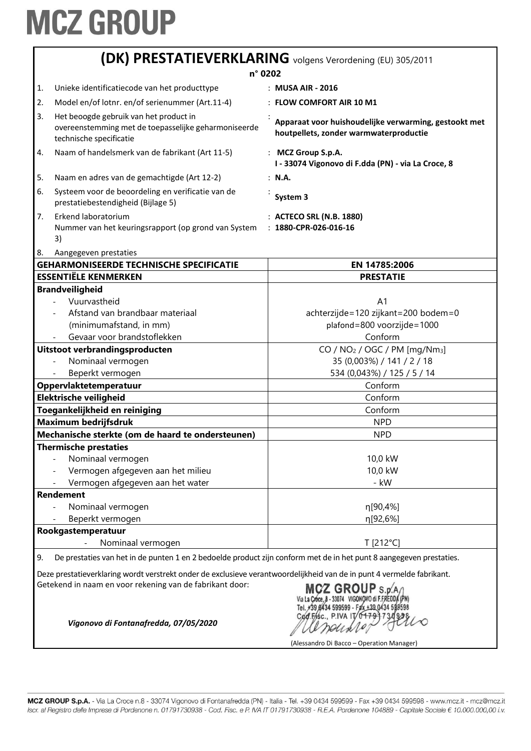| (DK) PRESTATIEVERKLARING volgens Verordening (EU) 305/2011                                                                |                                                                                                                           |                                                                                                                                                                                           |  |
|---------------------------------------------------------------------------------------------------------------------------|---------------------------------------------------------------------------------------------------------------------------|-------------------------------------------------------------------------------------------------------------------------------------------------------------------------------------------|--|
| n° 0202                                                                                                                   |                                                                                                                           |                                                                                                                                                                                           |  |
| 1.                                                                                                                        | Unieke identificatiecode van het producttype                                                                              | : MUSA AIR - 2016                                                                                                                                                                         |  |
| 2.                                                                                                                        | Model en/of lotnr. en/of serienummer (Art.11-4)                                                                           | : FLOW COMFORT AIR 10 M1                                                                                                                                                                  |  |
| 3.                                                                                                                        | Het beoogde gebruik van het product in<br>overeenstemming met de toepasselijke geharmoniseerde<br>technische specificatie | Apparaat voor huishoudelijke verwarming, gestookt met<br>houtpellets, zonder warmwaterproductie                                                                                           |  |
| 4.                                                                                                                        | Naam of handelsmerk van de fabrikant (Art 11-5)                                                                           | : MCZ Group S.p.A.<br>I - 33074 Vigonovo di F.dda (PN) - via La Croce, 8                                                                                                                  |  |
| 5.                                                                                                                        | Naam en adres van de gemachtigde (Art 12-2)                                                                               | : N.A.                                                                                                                                                                                    |  |
| 6.                                                                                                                        | Systeem voor de beoordeling en verificatie van de<br>prestatiebestendigheid (Bijlage 5)                                   | System 3                                                                                                                                                                                  |  |
| 7.<br>8.                                                                                                                  | Erkend laboratorium<br>Nummer van het keuringsrapport (op grond van System<br>3)<br>Aangegeven prestaties                 | : ACTECO SRL (N.B. 1880)<br>$: 1880$ -CPR-026-016-16                                                                                                                                      |  |
|                                                                                                                           | <b>GEHARMONISEERDE TECHNISCHE SPECIFICATIE</b>                                                                            | EN 14785:2006                                                                                                                                                                             |  |
|                                                                                                                           | <b>ESSENTIËLE KENMERKEN</b>                                                                                               | <b>PRESTATIE</b>                                                                                                                                                                          |  |
|                                                                                                                           | <b>Brandveiligheid</b>                                                                                                    |                                                                                                                                                                                           |  |
|                                                                                                                           | Vuurvastheid<br>Afstand van brandbaar materiaal<br>(minimumafstand, in mm)                                                | A <sub>1</sub><br>achterzijde=120 zijkant=200 bodem=0<br>plafond=800 voorzijde=1000                                                                                                       |  |
|                                                                                                                           | Gevaar voor brandstoflekken                                                                                               | Conform                                                                                                                                                                                   |  |
|                                                                                                                           | Uitstoot verbrandingsproducten<br>Nominaal vermogen<br>Beperkt vermogen                                                   | CO / $NO2$ / OGC / PM [mg/Nm <sub>3</sub> ]<br>35 (0,003%) / 141 / 2 / 18<br>534 (0,043%) / 125 / 5 / 14                                                                                  |  |
|                                                                                                                           | Oppervlaktetemperatuur                                                                                                    | Conform                                                                                                                                                                                   |  |
|                                                                                                                           | Elektrische veiligheid                                                                                                    | Conform                                                                                                                                                                                   |  |
|                                                                                                                           | Toegankelijkheid en reiniging                                                                                             | Conform                                                                                                                                                                                   |  |
|                                                                                                                           | Maximum bedrijfsdruk                                                                                                      | <b>NPD</b>                                                                                                                                                                                |  |
|                                                                                                                           | Mechanische sterkte (om de haard te ondersteunen)                                                                         | <b>NPD</b>                                                                                                                                                                                |  |
|                                                                                                                           | <b>Thermische prestaties</b>                                                                                              |                                                                                                                                                                                           |  |
|                                                                                                                           | Nominaal vermogen                                                                                                         | 10,0 kW                                                                                                                                                                                   |  |
|                                                                                                                           | Vermogen afgegeven aan het milieu                                                                                         | 10,0 kW                                                                                                                                                                                   |  |
|                                                                                                                           | Vermogen afgegeven aan het water                                                                                          | - kW                                                                                                                                                                                      |  |
|                                                                                                                           | <b>Rendement</b>                                                                                                          |                                                                                                                                                                                           |  |
|                                                                                                                           | Nominaal vermogen                                                                                                         | η[90,4%]                                                                                                                                                                                  |  |
|                                                                                                                           | Beperkt vermogen                                                                                                          | η[92,6%]                                                                                                                                                                                  |  |
|                                                                                                                           | Rookgastemperatuur                                                                                                        |                                                                                                                                                                                           |  |
|                                                                                                                           | Nominaal vermogen                                                                                                         | T [212°C]                                                                                                                                                                                 |  |
| De prestaties van het in de punten 1 en 2 bedoelde product zijn conform met de in het punt 8 aangegeven prestaties.<br>9. |                                                                                                                           |                                                                                                                                                                                           |  |
|                                                                                                                           | Deze prestatieverklaring wordt verstrekt onder de exclusieve verantwoordelijkheid van de in punt 4 vermelde fabrikant.    |                                                                                                                                                                                           |  |
|                                                                                                                           | Getekend in naam en voor rekening van de fabrikant door:<br>Vigonovo di Fontanafredda, 07/05/2020                         | MCZ GROUP S.D.A<br>Via La Cróce, 8 - 33074 VIGONOVO di F.FREDI<br>Tel. #39 8434 599599 - Fax +39 0434 599598<br>Cad.Fisc., P.IVA IT/04791730<br>(Alessandro Di Bacco – Operation Manager) |  |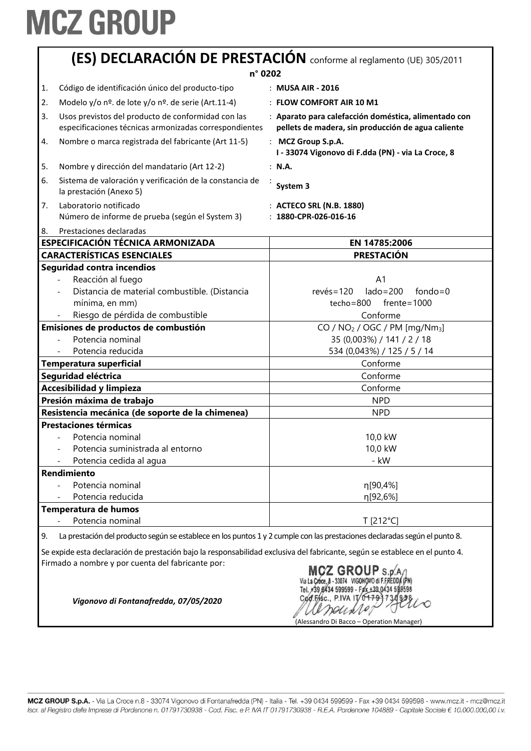| (ES) DECLARACIÓN DE PRESTACIÓN conforme al reglamento (UE) 305/2011 |                                                                                                                                                                                                |                                                                                                                                                                  |
|---------------------------------------------------------------------|------------------------------------------------------------------------------------------------------------------------------------------------------------------------------------------------|------------------------------------------------------------------------------------------------------------------------------------------------------------------|
|                                                                     | n° 0202                                                                                                                                                                                        |                                                                                                                                                                  |
| 1.                                                                  | Código de identificación único del producto-tipo                                                                                                                                               | : MUSA AIR - 2016                                                                                                                                                |
| 2.                                                                  | Modelo y/o nº. de lote y/o nº. de serie (Art.11-4)                                                                                                                                             | : FLOW COMFORT AIR 10 M1                                                                                                                                         |
| 3.                                                                  | Usos previstos del producto de conformidad con las<br>especificaciones técnicas armonizadas correspondientes                                                                                   | : Aparato para calefacción doméstica, alimentado con<br>pellets de madera, sin producción de agua caliente                                                       |
| 4.                                                                  | Nombre o marca registrada del fabricante (Art 11-5)                                                                                                                                            | : MCZ Group S.p.A.<br>I - 33074 Vigonovo di F.dda (PN) - via La Croce, 8                                                                                         |
| 5.                                                                  | Nombre y dirección del mandatario (Art 12-2)                                                                                                                                                   | : N.A.                                                                                                                                                           |
| 6.                                                                  | Sistema de valoración y verificación de la constancia de<br>la prestación (Anexo 5)                                                                                                            | System 3                                                                                                                                                         |
| 7.                                                                  | Laboratorio notificado<br>Número de informe de prueba (según el System 3)                                                                                                                      | : ACTECO SRL (N.B. 1880)<br>$: 1880$ -CPR-026-016-16                                                                                                             |
| 8.                                                                  | Prestaciones declaradas                                                                                                                                                                        |                                                                                                                                                                  |
|                                                                     | <b>ESPECIFICACIÓN TÉCNICA ARMONIZADA</b>                                                                                                                                                       | EN 14785:2006                                                                                                                                                    |
|                                                                     | <b>CARACTERÍSTICAS ESENCIALES</b>                                                                                                                                                              | <b>PRESTACIÓN</b>                                                                                                                                                |
|                                                                     | Seguridad contra incendios<br>Reacción al fuego<br>Distancia de material combustible. (Distancia<br>mínima, en mm)<br>Riesgo de pérdida de combustible<br>Emisiones de productos de combustión | A <sub>1</sub><br>$lado = 200$<br>$fondo = 0$<br>$rev\acute{e}s = 120$<br>$f$ rente=1000<br>techo=800<br>Conforme<br>CO / $NO2$ / OGC / PM [mg/Nm <sub>3</sub> ] |
|                                                                     | Potencia nominal<br>Potencia reducida                                                                                                                                                          | 35 (0,003%) / 141 / 2 / 18<br>534 (0,043%) / 125 / 5 / 14<br>Conforme                                                                                            |
|                                                                     | <b>Temperatura superficial</b><br>Seguridad eléctrica                                                                                                                                          | Conforme                                                                                                                                                         |
|                                                                     | <b>Accesibilidad y limpieza</b>                                                                                                                                                                | Conforme                                                                                                                                                         |
|                                                                     | Presión máxima de trabajo                                                                                                                                                                      | <b>NPD</b>                                                                                                                                                       |
|                                                                     | Resistencia mecánica (de soporte de la chimenea)                                                                                                                                               | <b>NPD</b>                                                                                                                                                       |
|                                                                     | <b>Prestaciones térmicas</b>                                                                                                                                                                   |                                                                                                                                                                  |
|                                                                     | Potencia nominal<br>Potencia suministrada al entorno<br>Potencia cedida al agua                                                                                                                | 10,0 kW<br>10,0 kW<br>- kW                                                                                                                                       |
|                                                                     | Rendimiento                                                                                                                                                                                    |                                                                                                                                                                  |
|                                                                     | Potencia nominal                                                                                                                                                                               | η[90,4%]                                                                                                                                                         |
|                                                                     | Potencia reducida                                                                                                                                                                              | η[92,6%]                                                                                                                                                         |
|                                                                     | Temperatura de humos                                                                                                                                                                           |                                                                                                                                                                  |
|                                                                     | Potencia nominal                                                                                                                                                                               | T [212°C]                                                                                                                                                        |
| 9.                                                                  | La prestación del producto según se establece en los puntos 1 y 2 cumple con las prestaciones declaradas según el punto 8.                                                                     |                                                                                                                                                                  |

Se expide esta declaración de prestación bajo la responsabilidad exclusiva del fabricante, según se establece en el punto 4. Firmado a nombre y por cuenta del fabricante por:

MCZ GROUP S.p.A. Tel. +39,8434 599599 - Fax +39,0434 589598 Cod.Fisc., P.IVA IT/0  $7Q$ andixe, (Alessandro Di Bacco – Operation Manager)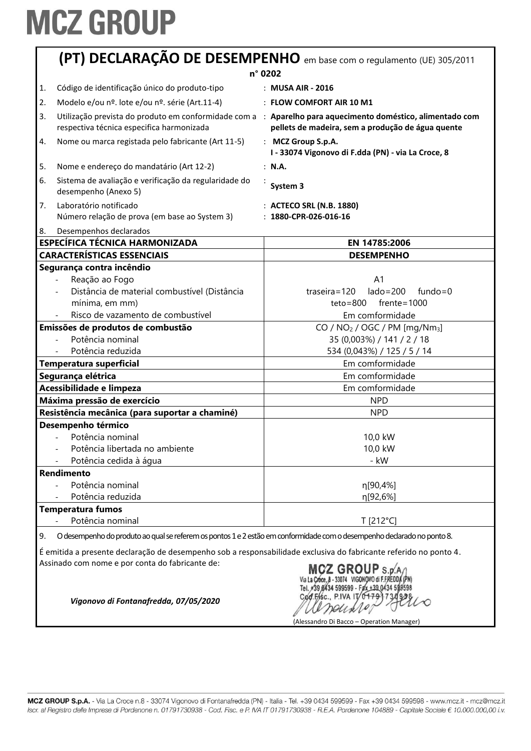|                                                                                                                                                                                                                                                                                                                           | (PT) DECLARAÇÃO DE DESEMPENHO em base com o regulamento (UE) 305/2011                                                                                                                                                                                                             |                                                                                                                                                                                                                                                                          |  |  |
|---------------------------------------------------------------------------------------------------------------------------------------------------------------------------------------------------------------------------------------------------------------------------------------------------------------------------|-----------------------------------------------------------------------------------------------------------------------------------------------------------------------------------------------------------------------------------------------------------------------------------|--------------------------------------------------------------------------------------------------------------------------------------------------------------------------------------------------------------------------------------------------------------------------|--|--|
|                                                                                                                                                                                                                                                                                                                           | n° 0202                                                                                                                                                                                                                                                                           |                                                                                                                                                                                                                                                                          |  |  |
| 1.                                                                                                                                                                                                                                                                                                                        | Código de identificação único do produto-tipo                                                                                                                                                                                                                                     | : MUSA AIR - 2016                                                                                                                                                                                                                                                        |  |  |
| 2.                                                                                                                                                                                                                                                                                                                        | Modelo e/ou nº. lote e/ou nº. série (Art.11-4)                                                                                                                                                                                                                                    | : FLOW COMFORT AIR 10 M1                                                                                                                                                                                                                                                 |  |  |
| 3.                                                                                                                                                                                                                                                                                                                        | respectiva técnica especifica harmonizada                                                                                                                                                                                                                                         | Utilização prevista do produto em conformidade com a : Aparelho para aquecimento doméstico, alimentado com<br>pellets de madeira, sem a produção de água quente                                                                                                          |  |  |
| 4.                                                                                                                                                                                                                                                                                                                        | Nome ou marca registada pelo fabricante (Art 11-5)                                                                                                                                                                                                                                | : MCZ Group S.p.A.<br>I - 33074 Vigonovo di F.dda (PN) - via La Croce, 8                                                                                                                                                                                                 |  |  |
| 5.                                                                                                                                                                                                                                                                                                                        | Nome e endereço do mandatário (Art 12-2)                                                                                                                                                                                                                                          | : N.A.                                                                                                                                                                                                                                                                   |  |  |
| 6.                                                                                                                                                                                                                                                                                                                        | Sistema de avaliação e verificação da regularidade do<br>desempenho (Anexo 5)                                                                                                                                                                                                     | System 3                                                                                                                                                                                                                                                                 |  |  |
| 7.                                                                                                                                                                                                                                                                                                                        | Laboratório notificado<br>Número relação de prova (em base ao System 3)                                                                                                                                                                                                           | : ACTECO SRL (N.B. 1880)<br>$: 1880$ -CPR-026-016-16                                                                                                                                                                                                                     |  |  |
| 8.                                                                                                                                                                                                                                                                                                                        | Desempenhos declarados                                                                                                                                                                                                                                                            |                                                                                                                                                                                                                                                                          |  |  |
|                                                                                                                                                                                                                                                                                                                           | <b>ESPECÍFICA TÉCNICA HARMONIZADA</b>                                                                                                                                                                                                                                             | EN 14785:2006                                                                                                                                                                                                                                                            |  |  |
|                                                                                                                                                                                                                                                                                                                           | <b>CARACTERÍSTICAS ESSENCIAIS</b>                                                                                                                                                                                                                                                 | <b>DESEMPENHO</b>                                                                                                                                                                                                                                                        |  |  |
|                                                                                                                                                                                                                                                                                                                           | Segurança contra incêndio<br>Reação ao Fogo<br>Distância de material combustível (Distância<br>mínima, em mm)<br>Risco de vazamento de combustível<br>Emissões de produtos de combustão<br>Potência nominal<br>Potência reduzida<br>Temperatura superficial<br>Segurança elétrica | A <sub>1</sub><br>$lado = 200$<br>$traseira = 120$<br>$fundo = 0$<br>$teto = 800$<br>$f$ rente=1000<br>Em comformidade<br>CO / $NO2$ / OGC / PM [mg/Nm <sub>3</sub> ]<br>35 (0,003%) / 141 / 2 / 18<br>534 (0,043%) / 125 / 5 / 14<br>Em comformidade<br>Em comformidade |  |  |
|                                                                                                                                                                                                                                                                                                                           | Acessibilidade e limpeza                                                                                                                                                                                                                                                          | Em comformidade                                                                                                                                                                                                                                                          |  |  |
|                                                                                                                                                                                                                                                                                                                           | Máxima pressão de exercício                                                                                                                                                                                                                                                       | <b>NPD</b>                                                                                                                                                                                                                                                               |  |  |
|                                                                                                                                                                                                                                                                                                                           | Resistência mecânica (para suportar a chaminé)<br>Desempenho térmico<br>Potência nominal<br>Potência libertada no ambiente<br>Potência cedida à água                                                                                                                              | <b>NPD</b><br>10,0 kW<br>10,0 kW<br>- kW                                                                                                                                                                                                                                 |  |  |
|                                                                                                                                                                                                                                                                                                                           | Rendimento                                                                                                                                                                                                                                                                        |                                                                                                                                                                                                                                                                          |  |  |
|                                                                                                                                                                                                                                                                                                                           | Potência nominal<br>Potência reduzida                                                                                                                                                                                                                                             | η[90,4%]<br>η[92,6%]                                                                                                                                                                                                                                                     |  |  |
|                                                                                                                                                                                                                                                                                                                           | <b>Temperatura fumos</b>                                                                                                                                                                                                                                                          |                                                                                                                                                                                                                                                                          |  |  |
|                                                                                                                                                                                                                                                                                                                           | Potência nominal                                                                                                                                                                                                                                                                  | T [212°C]                                                                                                                                                                                                                                                                |  |  |
| O desempenho do produto ao qual se referem os pontos 1 e 2 estão em conformidade com o desempenho declarado no ponto 8.<br>9.<br>É emitida a presente declaração de desempenho sob a responsabilidade exclusiva do fabricante referido no ponto 4.<br>Assinado com nome e por conta do fabricante de:<br>MCZ GROUP S.p.A. |                                                                                                                                                                                                                                                                                   |                                                                                                                                                                                                                                                                          |  |  |

Tel. #39 8434 599599 - F2x +39 0434 599598<br>Cod. FASc., P.IVA IT 0+793 7319998<br>/////*DOU de 1.0*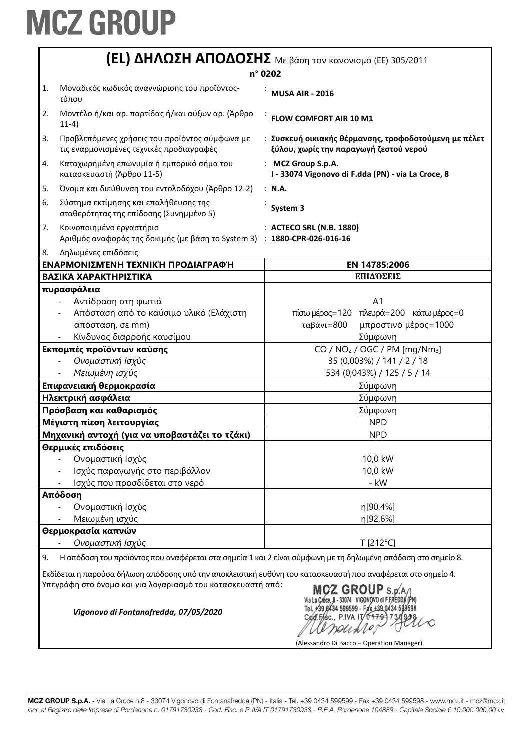|    | <b>(EL) ΔΗΛΩΣΗ ΑΠΟΔΟΣΗΣ</b> Με βάση τον κανονισμό (ΕΕ) 305/2011                                               |                                                                                                 |  |
|----|---------------------------------------------------------------------------------------------------------------|-------------------------------------------------------------------------------------------------|--|
|    |                                                                                                               | n° 0202                                                                                         |  |
| 1. | Μοναδικός κωδικός αναγνώρισης του προϊόντος-<br>τύπου                                                         | <b>MUSA AIR - 2016</b>                                                                          |  |
| 2. | Μοντέλο ή/και αρ. παρτίδας ή/και αύξων αρ. (Άρθρο<br>$11-4)$                                                  | FLOW COMFORT AIR 10 M1                                                                          |  |
| 3. | Προβλεπόμενες χρήσεις του προϊόντος σύμφωνα με<br>τις εναρμονισμένες τεχνικές προδιαγραφές                    | : Συσκευή οικιακής θέρμανσης, τροφοδοτούμενη με πέλετ<br>ξύλου, χωρίς την παραγωγή ζεστού νερού |  |
| 4. | Καταχωρημένη επωνυμία ή εμπορικό σήμα του<br>κατασκευαστή (Άρθρο 11-5)                                        | : MCZ Group S.p.A.<br>I - 33074 Vigonovo di F.dda (PN) - via La Croce, 8                        |  |
| 5. | Όνομα και διεύθυνση του εντολοδόχου (Άρθρο 12-2)                                                              | : N.A.                                                                                          |  |
| 6. | Σύστημα εκτίμησης και επαλήθευσης της<br>σταθερότητας της επίδοσης (Συνημμένο 5)                              | System 3                                                                                        |  |
| 7. | Κοινοποιημένο εργαστήριο<br>Αριθμός αναφοράς της δοκιμής (με βάση το System 3) : 1880-CPR-026-016-16          | : ACTECO SRL (N.B. 1880)                                                                        |  |
| 8. | Δηλωμένες επιδόσεις                                                                                           |                                                                                                 |  |
|    | ΕΝΑΡΜΟΝΙΣΜΈΝΗ ΤΕΧΝΙΚΉ ΠΡΟΔΙΑΓΡΑΦΉ                                                                             | EN 14785:2006                                                                                   |  |
|    | ΒΑΣΙΚΆ ΧΑΡΑΚΤΗΡΙΣΤΙΚΆ                                                                                         | ΕΠΙΔΌΣΕΙΣ                                                                                       |  |
|    | πυρασφάλεια                                                                                                   |                                                                                                 |  |
|    | Αντίδραση στη φωτιά                                                                                           | A <sub>1</sub>                                                                                  |  |
|    | Απόσταση από το καύσιμο υλικό (Ελάχιστη                                                                       | πίσω μέρος=120 πλευρά=200 κάτω μέρος=0                                                          |  |
|    | απόσταση, σε mm)                                                                                              | ταβάνι=800<br>μπροστινό μέρος=1000                                                              |  |
|    | Κίνδυνος διαρροής καυσίμου                                                                                    | Σύμφωνη                                                                                         |  |
|    | Εκπομπές προϊόντων καύσης                                                                                     | CO / $NO2$ / OGC / PM [mg/Nm <sub>3</sub> ]                                                     |  |
|    | Ονομαστική Ισχύς                                                                                              | 35 (0,003%) / 141 / 2 / 18                                                                      |  |
|    | Μειωμένη ισχύς                                                                                                | 534 (0,043%) / 125 / 5 / 14                                                                     |  |
|    | Επιφανειακή θερμοκρασία                                                                                       | Σύμφωνη                                                                                         |  |
|    | Ηλεκτρική ασφάλεια                                                                                            | Σύμφωνη                                                                                         |  |
|    | Πρόσβαση και καθαρισμός                                                                                       | Σύμφωνη                                                                                         |  |
|    | Μέγιστη πίεση λειτουργίας                                                                                     | <b>NPD</b>                                                                                      |  |
|    | Μηχανική αντοχή (για να υποβαστάζει το τζάκι)                                                                 | <b>NPD</b>                                                                                      |  |
|    | Θερμικές επιδόσεις                                                                                            |                                                                                                 |  |
|    | Ονομαστική Ισχύς                                                                                              | 10,0 kW                                                                                         |  |
|    | Ισχύς παραγωγής στο περιβάλλον                                                                                | 10,0 kW                                                                                         |  |
|    | Ισχύς που προσδίδεται στο νερό                                                                                | - kW                                                                                            |  |
|    | Απόδοση                                                                                                       |                                                                                                 |  |
|    | Ονομαστική Ισχύς                                                                                              | η[90,4%]                                                                                        |  |
|    | Μειωμένη ισχύς                                                                                                | η[92,6%]                                                                                        |  |
|    | Θερμοκρασία καπνών                                                                                            |                                                                                                 |  |
|    | Ονομαστική Ισχύς                                                                                              | T [212°C]                                                                                       |  |
| 9. | Η απόδοση του προϊόντος που αναφέρεται στα σημεία 1 και 2 είναι σύμφωνη με τη δηλωμένη απόδοση στο σημείο 8.  |                                                                                                 |  |
|    | Εκδίδεται η παρούσα δήλωση απόδοσης υπό την αποκλειστική ευθύνη του κατασκευαστή που αναφέρεται στο σημείο 4. |                                                                                                 |  |
|    | Υπεγράφη στο όνομα και για λογαριασμό του κατασκευαστή από:                                                   | <b>GROUP</b> S.D.A                                                                              |  |
|    | Vigonovo di Fontanafredda, 07/05/2020                                                                         | 599599 - Fax +39 0434 599598<br>Cod.Fisc., P.IVA IT/0479                                        |  |
|    |                                                                                                               | (Alessandro Di Bacco - Operation Manager)                                                       |  |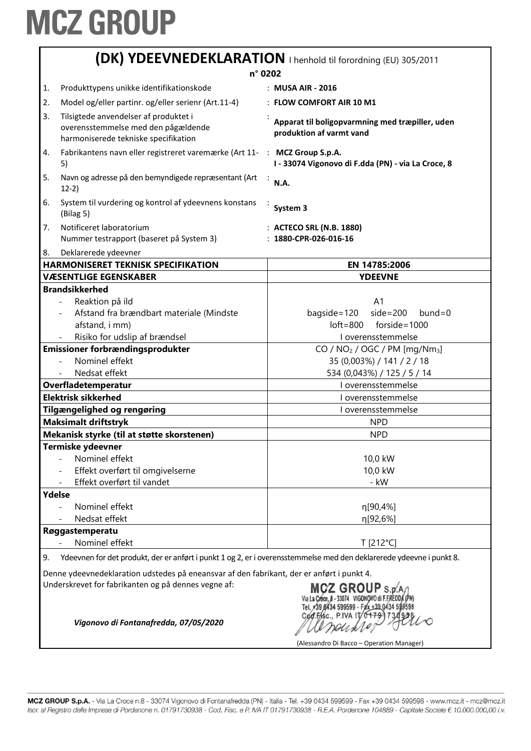|                                                                                                                                                                                                                                                            | (DK) YDEEVNEDEKLARATION   henhold til forordning (EU) 305/2011                                                       |                                                                             |  |
|------------------------------------------------------------------------------------------------------------------------------------------------------------------------------------------------------------------------------------------------------------|----------------------------------------------------------------------------------------------------------------------|-----------------------------------------------------------------------------|--|
| n° 0202                                                                                                                                                                                                                                                    |                                                                                                                      |                                                                             |  |
| 1.                                                                                                                                                                                                                                                         | Produkttypens unikke identifikationskode                                                                             | : MUSA AIR - 2016                                                           |  |
| 2.                                                                                                                                                                                                                                                         | Model og/eller partinr. og/eller serienr (Art.11-4)                                                                  | : FLOW COMFORT AIR 10 M1                                                    |  |
| 3.                                                                                                                                                                                                                                                         | Tilsigtede anvendelser af produktet i<br>overensstemmelse med den pågældende<br>harmoniserede tekniske specifikation | Apparat til boligopvarmning med træpiller, uden<br>produktion af varmt vand |  |
| 4.                                                                                                                                                                                                                                                         | Fabrikantens navn eller registreret varemærke (Art 11- : MCZ Group S.p.A.<br>5)                                      | I - 33074 Vigonovo di F.dda (PN) - via La Croce, 8                          |  |
| 5.                                                                                                                                                                                                                                                         | Navn og adresse på den bemyndigede repræsentant (Art<br>$12-2)$                                                      | <b>N.A.</b>                                                                 |  |
| 6.                                                                                                                                                                                                                                                         | System til vurdering og kontrol af ydeevnens konstans<br>(Bilag 5)                                                   | System 3                                                                    |  |
| 7.                                                                                                                                                                                                                                                         | Notificeret laboratorium                                                                                             | : ACTECO SRL (N.B. 1880)                                                    |  |
|                                                                                                                                                                                                                                                            | Nummer testrapport (baseret på System 3)                                                                             | $: 1880$ -CPR-026-016-16                                                    |  |
| 8.                                                                                                                                                                                                                                                         | Deklarerede ydeevner                                                                                                 |                                                                             |  |
|                                                                                                                                                                                                                                                            | <b>HARMONISERET TEKNISK SPECIFIKATION</b>                                                                            | EN 14785:2006                                                               |  |
|                                                                                                                                                                                                                                                            | <b>VÆSENTLIGE EGENSKABER</b>                                                                                         | <b>YDEEVNE</b>                                                              |  |
|                                                                                                                                                                                                                                                            | <b>Brandsikkerhed</b>                                                                                                |                                                                             |  |
|                                                                                                                                                                                                                                                            | Reaktion på ild                                                                                                      | A <sub>1</sub>                                                              |  |
|                                                                                                                                                                                                                                                            | Afstand fra brændbart materiale (Mindste                                                                             | $side=200$<br>bagside=120<br>$b$ und=0                                      |  |
|                                                                                                                                                                                                                                                            | afstand, i mm)                                                                                                       | $loft = 800$ forside = 1000                                                 |  |
|                                                                                                                                                                                                                                                            | Risiko for udslip af brændsel                                                                                        | I overensstemmelse                                                          |  |
| Emissioner forbrændingsprodukter                                                                                                                                                                                                                           |                                                                                                                      | CO / $NO2$ / OGC / PM [mg/Nm <sub>3</sub> ]                                 |  |
|                                                                                                                                                                                                                                                            | Nominel effekt                                                                                                       | 35 (0,003%) / 141 / 2 / 18                                                  |  |
|                                                                                                                                                                                                                                                            | Nedsat effekt                                                                                                        | 534 (0,043%) / 125 / 5 / 14                                                 |  |
| Overfladetemperatur                                                                                                                                                                                                                                        |                                                                                                                      | I overensstemmelse                                                          |  |
|                                                                                                                                                                                                                                                            | <b>Elektrisk sikkerhed</b>                                                                                           | I overensstemmelse                                                          |  |
|                                                                                                                                                                                                                                                            | <b>Tilgængelighed og rengøring</b>                                                                                   | I overensstemmelse                                                          |  |
|                                                                                                                                                                                                                                                            | <b>Maksimalt driftstryk</b>                                                                                          | <b>NPD</b>                                                                  |  |
|                                                                                                                                                                                                                                                            | Mekanisk styrke (til at støtte skorstenen)                                                                           | <b>NPD</b>                                                                  |  |
|                                                                                                                                                                                                                                                            | <b>Termiske ydeevner</b>                                                                                             |                                                                             |  |
|                                                                                                                                                                                                                                                            | Nominel effekt                                                                                                       | 10,0 kW                                                                     |  |
|                                                                                                                                                                                                                                                            | Effekt overført til omgivelserne                                                                                     | 10,0 kW                                                                     |  |
|                                                                                                                                                                                                                                                            | Effekt overført til vandet                                                                                           | - kW                                                                        |  |
| Ydelse                                                                                                                                                                                                                                                     |                                                                                                                      |                                                                             |  |
|                                                                                                                                                                                                                                                            | Nominel effekt<br>Nedsat effekt                                                                                      | η[90,4%]                                                                    |  |
|                                                                                                                                                                                                                                                            | Røggastemperatu                                                                                                      | η[92,6%]                                                                    |  |
|                                                                                                                                                                                                                                                            | Nominel effekt                                                                                                       | T [212°C]                                                                   |  |
| 9.                                                                                                                                                                                                                                                         |                                                                                                                      |                                                                             |  |
| Ydeevnen for det produkt, der er anført i punkt 1 og 2, er i overensstemmelse med den deklarerede ydeevne i punkt 8.                                                                                                                                       |                                                                                                                      |                                                                             |  |
| Denne ydeevnedeklaration udstedes på eneansvar af den fabrikant, der er anført i punkt 4.<br>Underskrevet for fabrikanten og på dennes vegne af:<br>MCZ GROUP S.D.<br>Via La Croce, 8 - 33074 VIGONOVO di F.FREDE<br>Tel. #39 £434 599599 - Fax +39 0434 5 |                                                                                                                      |                                                                             |  |
|                                                                                                                                                                                                                                                            | Cød.Fisc., P.IVA IT/0479<br>Vigonovo di Fontanafredda, 07/05/2020<br>(Alessandro Di Bacco – Operation Manager)       |                                                                             |  |

MCZ GROUP S.p.A. - Via La Croce n.8 - 33074 Vigonovo di Fontanafredda (PN) - Italia - Tel. +39 0434 599599 - Fax +39 0434 599598 - www.mcz.it - mcz@mcz.it Iscr. al Registro delle Imprese di Pordenone n. 01791730938 - Cod. Fisc. e P. IVA IT 01791730938 - R.E.A. Pordenone 104889 - Capitale Sociale € 10.000.000,00 i.v.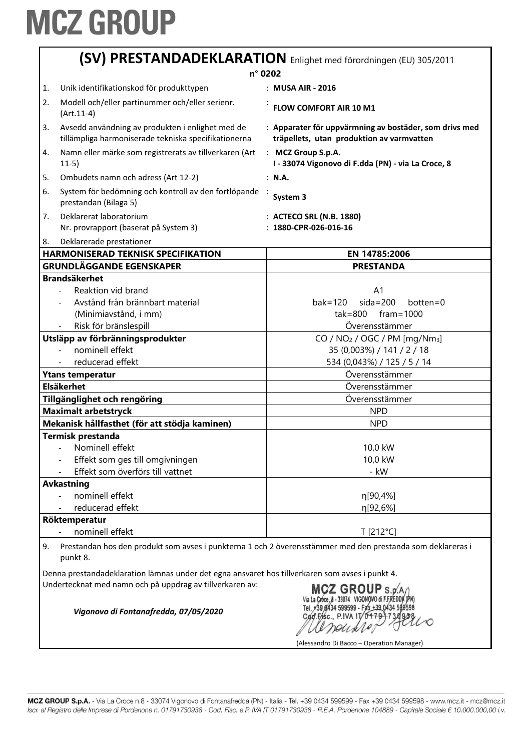|                                                                                                                              | (SV) PRESTANDADEKLARATION Enlighet med förordningen (EU) 305/2011                                                                                           |                                                                                                     |  |
|------------------------------------------------------------------------------------------------------------------------------|-------------------------------------------------------------------------------------------------------------------------------------------------------------|-----------------------------------------------------------------------------------------------------|--|
|                                                                                                                              |                                                                                                                                                             | n° 0202                                                                                             |  |
| 1.                                                                                                                           | Unik identifikationskod för produkttypen                                                                                                                    | : MUSA AIR - 2016                                                                                   |  |
| 2.                                                                                                                           | Modell och/eller partinummer och/eller serienr.<br>$(Art.11-4)$                                                                                             | FLOW COMFORT AIR 10 M1                                                                              |  |
| 3.                                                                                                                           | Avsedd användning av produkten i enlighet med de<br>tillämpliga harmoniserade tekniska specifikationerna                                                    | : Apparater för uppvärmning av bostäder, som drivs med<br>träpellets, utan produktion av varmvatten |  |
| 4.                                                                                                                           | Namn eller märke som registrerats av tillverkaren (Art<br>$11-5)$                                                                                           | : MCZ Group S.p.A.<br>I - 33074 Vigonovo di F.dda (PN) - via La Croce, 8                            |  |
| 5.                                                                                                                           | Ombudets namn och adress (Art 12-2)                                                                                                                         | : N.A.                                                                                              |  |
| 6.                                                                                                                           | System för bedömning och kontroll av den fortlöpande :<br>prestandan (Bilaga 5)                                                                             | System 3                                                                                            |  |
| 7.                                                                                                                           | Deklarerat laboratorium<br>Nr. provrapport (baserat på System 3)                                                                                            | : ACTECO SRL (N.B. 1880)<br>$: 1880$ -CPR-026-016-16                                                |  |
| 8.                                                                                                                           | Deklarerade prestationer                                                                                                                                    |                                                                                                     |  |
|                                                                                                                              | <b>HARMONISERAD TEKNISK SPECIFIKATION</b>                                                                                                                   | EN 14785:2006                                                                                       |  |
|                                                                                                                              | <b>GRUNDLÄGGANDE EGENSKAPER</b>                                                                                                                             | <b>PRESTANDA</b>                                                                                    |  |
|                                                                                                                              | <b>Brandsäkerhet</b><br>Reaktion vid brand                                                                                                                  | A <sub>1</sub>                                                                                      |  |
|                                                                                                                              | Avstånd från brännbart material                                                                                                                             | $sida = 200$<br>$bak = 120$<br>$bottom = 0$                                                         |  |
|                                                                                                                              | (Minimiavstånd, i mm)                                                                                                                                       | $tak = 800$<br>$frame = 1000$                                                                       |  |
|                                                                                                                              | Risk för bränslespill                                                                                                                                       | Överensstämmer                                                                                      |  |
|                                                                                                                              | Utsläpp av förbränningsprodukter                                                                                                                            | CO / $NO2$ / OGC / PM [mg/Nm <sub>3</sub> ]                                                         |  |
|                                                                                                                              | nominell effekt<br>$\sim$                                                                                                                                   | 35 (0,003%) / 141 / 2 / 18                                                                          |  |
|                                                                                                                              | reducerad effekt                                                                                                                                            | 534 (0,043%) / 125 / 5 / 14                                                                         |  |
|                                                                                                                              | <b>Ytans temperatur</b>                                                                                                                                     | Överensstämmer                                                                                      |  |
|                                                                                                                              | <b>Elsäkerhet</b>                                                                                                                                           | Överensstämmer                                                                                      |  |
|                                                                                                                              | Tillgänglighet och rengöring                                                                                                                                | Överensstämmer                                                                                      |  |
|                                                                                                                              | <b>Maximalt arbetstryck</b>                                                                                                                                 | <b>NPD</b>                                                                                          |  |
|                                                                                                                              | Mekanisk hållfasthet (för att stödja kaminen)                                                                                                               | <b>NPD</b>                                                                                          |  |
|                                                                                                                              | <b>Termisk prestanda</b>                                                                                                                                    |                                                                                                     |  |
|                                                                                                                              | Nominell effekt                                                                                                                                             | 10,0 kW                                                                                             |  |
|                                                                                                                              | Effekt som ges till omgivningen                                                                                                                             | 10,0 kW                                                                                             |  |
|                                                                                                                              | Effekt som överförs till vattnet                                                                                                                            | - kW                                                                                                |  |
|                                                                                                                              | <b>Avkastning</b>                                                                                                                                           |                                                                                                     |  |
|                                                                                                                              | nominell effekt                                                                                                                                             | η[90,4%]                                                                                            |  |
|                                                                                                                              | reducerad effekt                                                                                                                                            | η[92,6%]                                                                                            |  |
|                                                                                                                              | Röktemperatur                                                                                                                                               |                                                                                                     |  |
|                                                                                                                              | nominell effekt                                                                                                                                             | T [212°C]                                                                                           |  |
| Prestandan hos den produkt som avses i punkterna 1 och 2 överensstämmer med den prestanda som deklareras i<br>9.<br>punkt 8. |                                                                                                                                                             |                                                                                                     |  |
|                                                                                                                              | Denna prestandadeklaration lämnas under det egna ansvaret hos tillverkaren som avses i punkt 4.<br>Undertecknat med namn och på uppdrag av tillverkaren av: | $MCZ$ GROUP S.p.A                                                                                   |  |

*Vigonovo di Fontanafredda, 07/05/2020*

Via La Croce, 8 - 33074 VIGONOVO DI F.FREDUA (FN)<br>Tel. +39 8434 599599 - Fax +39 0434 599598<br>Cod. Frsc., P.IVA IT 0+79 3730 928

(Alessandro Di Bacco – Operation Manager)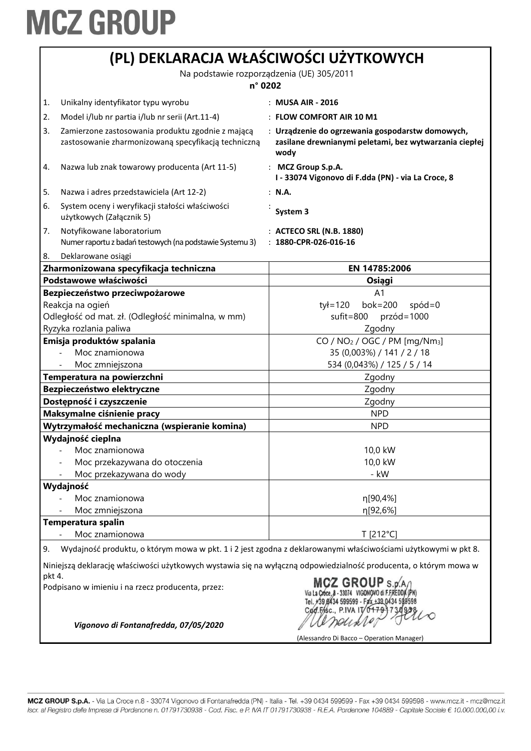|                            | (PL) DEKLARACJA WŁAŚCIWOŚCI UŻYTKOWYCH                                                                   |                                                                                                                    |  |
|----------------------------|----------------------------------------------------------------------------------------------------------|--------------------------------------------------------------------------------------------------------------------|--|
|                            | Na podstawie rozporządzenia (UE) 305/2011                                                                |                                                                                                                    |  |
|                            | n° 0202                                                                                                  |                                                                                                                    |  |
| 1.                         | Unikalny identyfikator typu wyrobu                                                                       | : MUSA AIR - 2016                                                                                                  |  |
| 2.                         | Model i/lub nr partia i/lub nr serii (Art.11-4)                                                          | $:$ FLOW COMFORT AIR 10 M1                                                                                         |  |
| 3.                         | Zamierzone zastosowania produktu zgodnie z mającą<br>zastosowanie zharmonizowaną specyfikacją techniczną | : Urządzenie do ogrzewania gospodarstw domowych,<br>zasilane drewnianymi peletami, bez wytwarzania ciepłej<br>wody |  |
| 4.                         | Nazwa lub znak towarowy producenta (Art 11-5)                                                            | : MCZ Group S.p.A.<br>I - 33074 Vigonovo di F.dda (PN) - via La Croce, 8                                           |  |
| 5.                         | Nazwa i adres przedstawiciela (Art 12-2)                                                                 | : N.A.                                                                                                             |  |
| 6.                         | System oceny i weryfikacji stałości właściwości<br>użytkowych (Załącznik 5)                              | System 3                                                                                                           |  |
| 7.                         | Notyfikowane laboratorium<br>Numer raportu z badań testowych (na podstawie Systemu 3)                    | : ACTECO SRL (N.B. 1880)<br>$: 1880$ -CPR-026-016-16                                                               |  |
| 8.                         | Deklarowane osiągi                                                                                       |                                                                                                                    |  |
|                            | Zharmonizowana specyfikacja techniczna                                                                   | EN 14785:2006                                                                                                      |  |
|                            | Podstawowe właściwości                                                                                   | Osiągi                                                                                                             |  |
|                            | Bezpieczeństwo przeciwpożarowe                                                                           | A <sub>1</sub>                                                                                                     |  |
|                            | Reakcja na ogień                                                                                         | bok=200<br>tył=120<br>$spód=0$                                                                                     |  |
|                            | Odległość od mat. zł. (Odległość minimalna, w mm)                                                        | sufit=800<br>$przód = 1000$                                                                                        |  |
|                            | Ryzyka rozlania paliwa                                                                                   | Zgodny                                                                                                             |  |
|                            | Emisja produktów spalania                                                                                | $CO / NO2 / OGC / PM [mg/Nm3]$                                                                                     |  |
|                            | Moc znamionowa                                                                                           | 35 (0,003%) / 141 / 2 / 18                                                                                         |  |
|                            | Moc zmniejszona                                                                                          | 534 (0,043%) / 125 / 5 / 14                                                                                        |  |
| Temperatura na powierzchni |                                                                                                          | Zgodny                                                                                                             |  |
| Bezpieczeństwo elektryczne |                                                                                                          | Zgodny                                                                                                             |  |
|                            | Dostępność i czyszczenie                                                                                 | Zgodny                                                                                                             |  |
| Maksymalne ciśnienie pracy |                                                                                                          | <b>NPD</b>                                                                                                         |  |
|                            | Wytrzymałość mechaniczna (wspieranie komina)                                                             | <b>NPD</b>                                                                                                         |  |
|                            | Wydajność cieplna                                                                                        |                                                                                                                    |  |
|                            | Moc znamionowa                                                                                           | 10,0 kW                                                                                                            |  |
|                            | Moc przekazywana do otoczenia                                                                            | 10,0 kW                                                                                                            |  |
|                            | Moc przekazywana do wody                                                                                 | - kW                                                                                                               |  |
|                            | Wydajność                                                                                                |                                                                                                                    |  |
|                            | Moc znamionowa                                                                                           | η[90,4%]                                                                                                           |  |
|                            | Moc zmniejszona                                                                                          | η[92,6%]                                                                                                           |  |
|                            | Temperatura spalin                                                                                       |                                                                                                                    |  |
|                            | Moc znamionowa                                                                                           | T [212°C]                                                                                                          |  |
| 9.                         |                                                                                                          | Wydajność produktu, o którym mowa w pkt. 1 i 2 jest zgodna z deklarowanymi właściwościami użytkowymi w pkt 8.      |  |
|                            |                                                                                                          | Niniejszą deklarację właściwości użytkowych wystawia się na wyłączną odpowiedzialność producenta, o którym mowa w  |  |
| pkt 4.                     | Podpisano w imieniu i na rzecz producenta, przez:                                                        | CZ GROUP S.D.A<br>599599 - Fax +39 0434 598598<br>Cad.Fisc., P.IVA IT/0179                                         |  |
|                            | Vigonovo di Fontanafredda, 07/05/2020<br>(Alessandro Di Bacco – Operation Manager)                       |                                                                                                                    |  |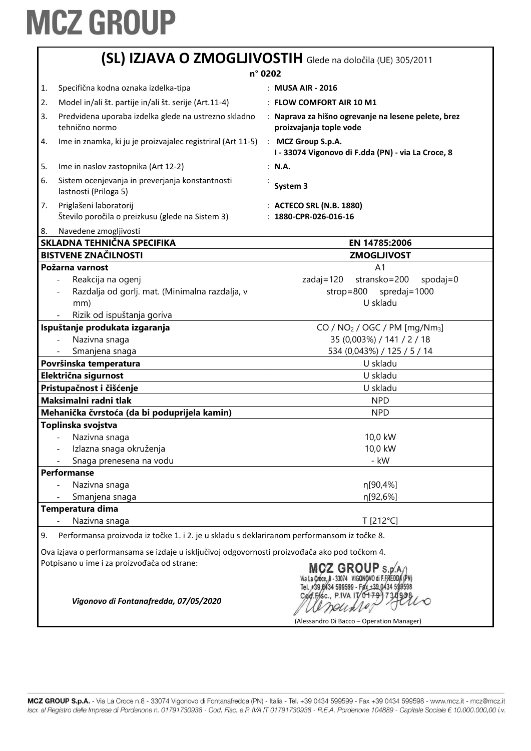|                                                                                                                                                                                 | (SL) IZJAVA O ZMOGLJIVOSTIH Glede na določila (UE) 305/2011                                                                 |                                                                                                                |  |
|---------------------------------------------------------------------------------------------------------------------------------------------------------------------------------|-----------------------------------------------------------------------------------------------------------------------------|----------------------------------------------------------------------------------------------------------------|--|
|                                                                                                                                                                                 |                                                                                                                             | n° 0202                                                                                                        |  |
| 1.                                                                                                                                                                              | Specifična kodna oznaka izdelka-tipa                                                                                        | : MUSA AIR - 2016                                                                                              |  |
| 2.                                                                                                                                                                              | Model in/ali št. partije in/ali št. serije (Art.11-4)                                                                       | : FLOW COMFORT AIR 10 M1                                                                                       |  |
| 3.                                                                                                                                                                              | Predvidena uporaba izdelka glede na ustrezno skladno<br>tehnično normo                                                      | : Naprava za hišno ogrevanje na lesene pelete, brez<br>proizvajanja tople vode                                 |  |
| 4.                                                                                                                                                                              | Ime in znamka, ki ju je proizvajalec registriral (Art 11-5)                                                                 | : MCZ Group S.p.A.<br>I - 33074 Vigonovo di F.dda (PN) - via La Croce, 8                                       |  |
| 5.                                                                                                                                                                              | Ime in naslov zastopnika (Art 12-2)                                                                                         | : N.A.                                                                                                         |  |
| 6.                                                                                                                                                                              | Sistem ocenjevanja in preverjanja konstantnosti<br>lastnosti (Priloga 5)                                                    | System 3                                                                                                       |  |
| 7.                                                                                                                                                                              | Priglašeni laboratorij<br>Število poročila o preizkusu (glede na Sistem 3)                                                  | : ACTECO SRL (N.B. 1880)<br>: 1880-CPR-026-016-16                                                              |  |
| 8.                                                                                                                                                                              | Navedene zmogljivosti                                                                                                       |                                                                                                                |  |
|                                                                                                                                                                                 | SKLADNA TEHNIČNA SPECIFIKA                                                                                                  | EN 14785:2006                                                                                                  |  |
|                                                                                                                                                                                 | <b>BISTVENE ZNAČILNOSTI</b>                                                                                                 | <b>ZMOGLJIVOST</b>                                                                                             |  |
|                                                                                                                                                                                 | Požarna varnost<br>Reakcija na ogenj<br>Razdalja od gorlj. mat. (Minimalna razdalja, v<br>mm)<br>Rizik od ispuštanja goriva | A <sub>1</sub><br>stransko=200<br>$zadaj = 120$<br>$spodaj=0$<br>$strop = 800$<br>spredaj = $1000$<br>U skladu |  |
|                                                                                                                                                                                 | Ispuštanje produkata izgaranja                                                                                              | $CO / NO2 / OGC / PM [mg/Nm3]$                                                                                 |  |
|                                                                                                                                                                                 | Nazivna snaga                                                                                                               | 35 (0,003%) / 141 / 2 / 18                                                                                     |  |
|                                                                                                                                                                                 | Smanjena snaga                                                                                                              | 534 (0,043%) / 125 / 5 / 14                                                                                    |  |
| Površinska temperatura                                                                                                                                                          |                                                                                                                             | U skladu                                                                                                       |  |
| Električna sigurnost                                                                                                                                                            |                                                                                                                             | U skladu                                                                                                       |  |
| Pristupačnost i čišćenje                                                                                                                                                        |                                                                                                                             | U skladu                                                                                                       |  |
|                                                                                                                                                                                 | Maksimalni radni tlak                                                                                                       | <b>NPD</b>                                                                                                     |  |
| Mehanička čvrstoća (da bi poduprijela kamin)<br><b>NPD</b>                                                                                                                      |                                                                                                                             |                                                                                                                |  |
|                                                                                                                                                                                 | Toplinska svojstva<br>Nazivna snaga                                                                                         | 10,0 kW                                                                                                        |  |
|                                                                                                                                                                                 | Izlazna snaga okruženja                                                                                                     | 10,0 kW                                                                                                        |  |
|                                                                                                                                                                                 | Snaga prenesena na vodu                                                                                                     | - kW                                                                                                           |  |
|                                                                                                                                                                                 | <b>Performanse</b>                                                                                                          |                                                                                                                |  |
|                                                                                                                                                                                 | Nazivna snaga                                                                                                               | n[90,4%]                                                                                                       |  |
|                                                                                                                                                                                 | Smanjena snaga                                                                                                              | η[92,6%]                                                                                                       |  |
|                                                                                                                                                                                 | Temperatura dima                                                                                                            |                                                                                                                |  |
|                                                                                                                                                                                 | Nazivna snaga                                                                                                               | T [212°C]                                                                                                      |  |
| 9.                                                                                                                                                                              | Performansa proizvoda iz točke 1. i 2. je u skladu s deklariranom performansom iz točke 8.                                  |                                                                                                                |  |
|                                                                                                                                                                                 | Ova izjava o performansama se izdaje u isključivoj odgovornosti proizvođača ako pod točkom 4.                               |                                                                                                                |  |
| Potpisano u ime i za proizvođača od strane:<br>MCZ GROUP s.p.<br>Cad.Fisc., P.IVA IT/0179<br>Vigonovo di Fontanafredda, 07/05/2020<br>(Alessandro Di Bacco – Operation Manager) |                                                                                                                             |                                                                                                                |  |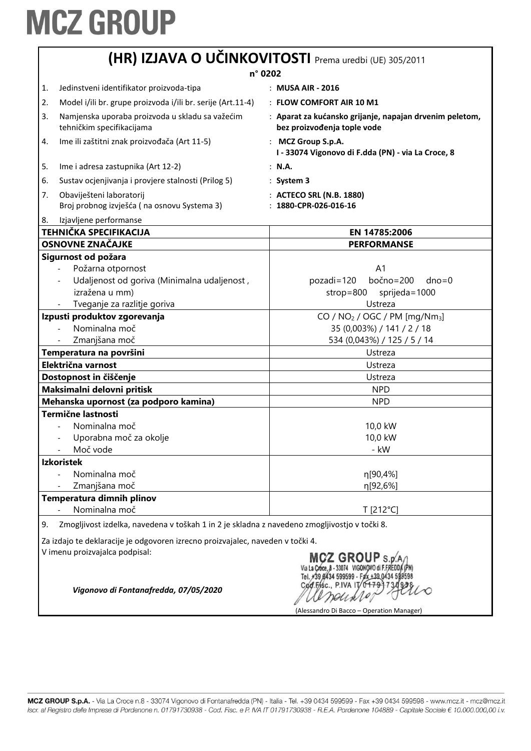| (HR) IZJAVA O UČINKOVITOSTI Prema uredbi (UE) 305/2011                                                                                                               |                                                                                                                                          |                                                                                                   |  |  |
|----------------------------------------------------------------------------------------------------------------------------------------------------------------------|------------------------------------------------------------------------------------------------------------------------------------------|---------------------------------------------------------------------------------------------------|--|--|
|                                                                                                                                                                      |                                                                                                                                          | n° 0202                                                                                           |  |  |
| 1.                                                                                                                                                                   | Jedinstveni identifikator proizvoda-tipa                                                                                                 | : MUSA AIR - 2016                                                                                 |  |  |
| 2.                                                                                                                                                                   | Model i/ili br. grupe proizvoda i/ili br. serije (Art.11-4)                                                                              | : FLOW COMFORT AIR 10 M1                                                                          |  |  |
| 3.                                                                                                                                                                   | Namjenska uporaba proizvoda u skladu sa važećim<br>tehničkim specifikacijama                                                             | : Aparat za kućansko grijanje, napajan drvenim peletom,<br>bez proizvođenja tople vode            |  |  |
| 4.                                                                                                                                                                   | Ime ili zaštitni znak proizvođača (Art 11-5)                                                                                             | : MCZ Group S.p.A.<br>I - 33074 Vigonovo di F.dda (PN) - via La Croce, 8                          |  |  |
| 5.                                                                                                                                                                   | Ime i adresa zastupnika (Art 12-2)                                                                                                       | : N.A.                                                                                            |  |  |
| 6.                                                                                                                                                                   | Sustav ocjenjivanja i provjere stalnosti (Prilog 5)                                                                                      | $:$ System 3                                                                                      |  |  |
| 7.                                                                                                                                                                   | Obaviješteni laboratorij<br>Broj probnog izvješća (na osnovu Systema 3)                                                                  | : ACTECO SRL (N.B. 1880)<br>: 1880-CPR-026-016-16                                                 |  |  |
| 8.                                                                                                                                                                   | Izjavljene performanse                                                                                                                   |                                                                                                   |  |  |
|                                                                                                                                                                      | <b>TEHNIČKA SPECIFIKACIJA</b>                                                                                                            | EN 14785:2006                                                                                     |  |  |
|                                                                                                                                                                      | OSNOVNE ZNAČAJKE                                                                                                                         | <b>PERFORMANSE</b>                                                                                |  |  |
|                                                                                                                                                                      | Sigurnost od požara<br>Požarna otpornost<br>Udaljenost od goriva (Minimalna udaljenost,<br>izražena u mm)<br>Tveganje za razlitje goriva | A <sub>1</sub><br>bočno=200<br>pozadi=120<br>$dno = 0$<br>$strop=800$<br>sprijeda=1000<br>Ustreza |  |  |
| Izpusti produktov zgorevanja                                                                                                                                         |                                                                                                                                          | CO / $NO2$ / OGC / PM [mg/Nm <sub>3</sub> ]                                                       |  |  |
|                                                                                                                                                                      | Nominalna moč                                                                                                                            | 35 (0,003%) / 141 / 2 / 18                                                                        |  |  |
|                                                                                                                                                                      | Zmanjšana moč                                                                                                                            | 534 (0,043%) / 125 / 5 / 14                                                                       |  |  |
|                                                                                                                                                                      | Temperatura na površini                                                                                                                  | Ustreza                                                                                           |  |  |
| Električna varnost                                                                                                                                                   |                                                                                                                                          | Ustreza                                                                                           |  |  |
| Dostopnost in čiščenje                                                                                                                                               |                                                                                                                                          | Ustreza                                                                                           |  |  |
| Maksimalni delovni pritisk                                                                                                                                           |                                                                                                                                          | <b>NPD</b>                                                                                        |  |  |
| Mehanska upornost (za podporo kamina)                                                                                                                                |                                                                                                                                          | <b>NPD</b>                                                                                        |  |  |
|                                                                                                                                                                      | <b>Termične lastnosti</b><br>Nominalna moč<br>Uporabna moč za okolje<br>Moč vode                                                         | 10,0 kW<br>10,0 kW<br>- kW                                                                        |  |  |
|                                                                                                                                                                      | <b>Izkoristek</b><br>Nominalna moč                                                                                                       | η[90,4%]                                                                                          |  |  |
|                                                                                                                                                                      | Zmanjšana moč                                                                                                                            | η[92,6%]                                                                                          |  |  |
|                                                                                                                                                                      | Temperatura dimnih plinov                                                                                                                |                                                                                                   |  |  |
|                                                                                                                                                                      | Nominalna moč                                                                                                                            | T [212°C]                                                                                         |  |  |
| 9.                                                                                                                                                                   | Zmogljivost izdelka, navedena v toškah 1 in 2 je skladna z navedeno zmogljivostjo v točki 8.                                             |                                                                                                   |  |  |
| Za izdajo te deklaracije je odgovoren izrecno proizvajalec, naveden v točki 4.                                                                                       |                                                                                                                                          |                                                                                                   |  |  |
| V imenu proizvajalca podpisal:<br>MCZ GROUP S.p.<br>200 Fisc., P.IVA IT/0179-1<br>Vigonovo di Fontanafredda, 07/05/2020<br>(Alessandro Di Bacco – Operation Manager) |                                                                                                                                          |                                                                                                   |  |  |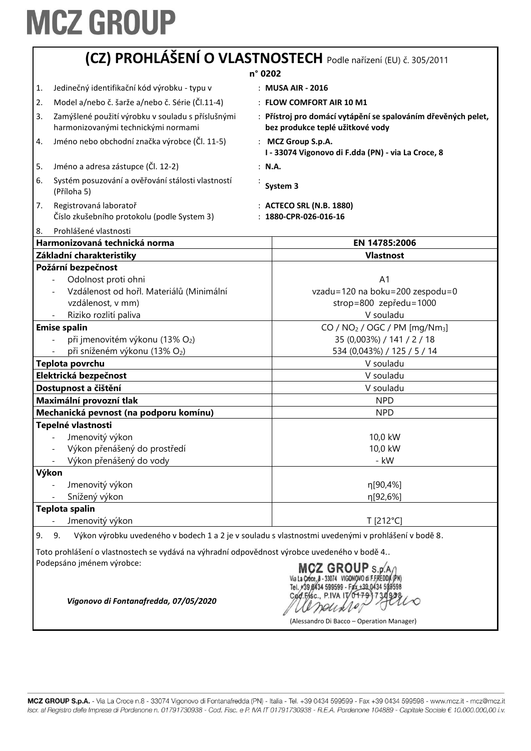|                 | (CZ) PROHLÁŠENÍ O VLASTNOSTECH Podle nařízení (EU) č. 305/2011                                                                 |                                                                                                                                 |  |  |
|-----------------|--------------------------------------------------------------------------------------------------------------------------------|---------------------------------------------------------------------------------------------------------------------------------|--|--|
|                 | n° 0202                                                                                                                        |                                                                                                                                 |  |  |
| 1.              | Jedinečný identifikační kód výrobku - typu v                                                                                   | : MUSA AIR - 2016                                                                                                               |  |  |
| 2.              | Model a/nebo č. šarže a/nebo č. Série (Čl.11-4)                                                                                | : FLOW COMFORT AIR 10 M1                                                                                                        |  |  |
| 3.              | Zamýšlené použití výrobku v souladu s příslušnými<br>harmonizovanými technickými normami                                       | : Přístroj pro domácí vytápění se spalováním dřevěných pelet,<br>bez produkce teplé užitkové vody                               |  |  |
| 4.              | Jméno nebo obchodní značka výrobce (Čl. 11-5)                                                                                  | : MCZ Group S.p.A.<br>I - 33074 Vigonovo di F.dda (PN) - via La Croce, 8                                                        |  |  |
| 5.              | Jméno a adresa zástupce (Čl. 12-2)                                                                                             | : N.A.                                                                                                                          |  |  |
| 6.              | Systém posuzování a ověřování stálosti vlastností<br>(Příloha 5)                                                               | System 3                                                                                                                        |  |  |
| 7.              | Registrovaná laboratoř<br>Číslo zkušebního protokolu (podle System 3)                                                          | : ACTECO SRL (N.B. 1880)<br>: 1880-CPR-026-016-16                                                                               |  |  |
| 8.              | Prohlášené vlastnosti<br>Harmonizovaná technická norma                                                                         | EN 14785:2006                                                                                                                   |  |  |
|                 | Základní charakteristiky                                                                                                       | <b>Vlastnost</b>                                                                                                                |  |  |
|                 | Požární bezpečnost                                                                                                             |                                                                                                                                 |  |  |
|                 | Odolnost proti ohni<br>Vzdálenost od hořl. Materiálů (Minimální<br>vzdálenost, v mm)<br>Riziko rozlití paliva                  | A <sub>1</sub><br>vzadu=120 na boku=200 zespodu=0<br>strop=800 zepředu=1000<br>V souladu                                        |  |  |
|                 | <b>Emise spalin</b><br>při jmenovitém výkonu (13% O2)<br>při sníženém výkonu (13% O2)                                          | $CO / NO2 / OGC / PM [mg/Nm3]$<br>35 (0,003%) / 141 / 2 / 18<br>534 (0,043%) / 125 / 5 / 14                                     |  |  |
| Teplota povrchu |                                                                                                                                | V souladu                                                                                                                       |  |  |
|                 | Elektrická bezpečnost                                                                                                          | V souladu                                                                                                                       |  |  |
|                 | Dostupnost a čištění                                                                                                           | V souladu                                                                                                                       |  |  |
|                 | Maximální provozní tlak                                                                                                        | <b>NPD</b>                                                                                                                      |  |  |
|                 | Mechanická pevnost (na podporu komínu)                                                                                         | <b>NPD</b>                                                                                                                      |  |  |
|                 | Tepelné vlastnosti<br>Jmenovitý výkon<br>Výkon přenášený do prostředí<br>Výkon přenášený do vody                               | 10,0 kW<br>10,0 kW<br>- kW                                                                                                      |  |  |
|                 | Výkon                                                                                                                          |                                                                                                                                 |  |  |
| Jmenovitý výkon |                                                                                                                                | η[90,4%]                                                                                                                        |  |  |
|                 | Snížený výkon                                                                                                                  | n[92,6%]                                                                                                                        |  |  |
|                 | <b>Teplota spalin</b><br>Jmenovitý výkon                                                                                       | T [212°C]                                                                                                                       |  |  |
| 9.              | 9.<br>Toto prohlášení o vlastnostech se vydává na výhradní odpovědnost výrobce uvedeného v bodě 4<br>Podepsáno jménem výrobce: | Výkon výrobku uvedeného v bodech 1 a 2 je v souladu s vlastnostmi uvedenými v prohlášení v bodě 8.<br>$MCZ$ GROUP $\frac{1}{2}$ |  |  |

**MICZ GROUP** S.p.A.)<br>Via La Croce, 8 - 33074 VIGONOVO di F.FREDDA (PN)<br>Tel. 739 8434 599599 - Fax + 39 0434 599598<br>Cod. F/sc., P.IVA IT/0<del>179</del>37349298  $\widehat{\mathcal{C}}$ *Ordino* 

(Alessandro Di Bacco – Operation Manager)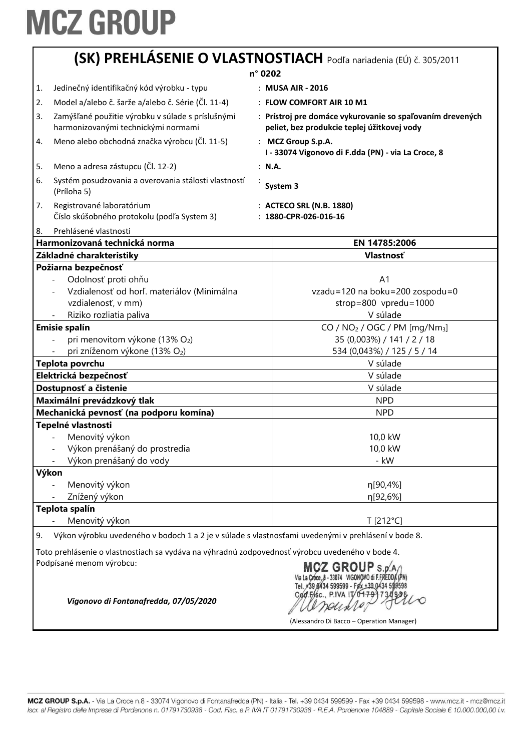|                       | (SK) PREHLASENIE O VLASTNOSTIACH Podľa nariadenia (EÚ) č. 305/2011                                 |                                                                                                          |  |
|-----------------------|----------------------------------------------------------------------------------------------------|----------------------------------------------------------------------------------------------------------|--|
|                       |                                                                                                    | n° 0202                                                                                                  |  |
| 1.                    | Jedinečný identifikačný kód výrobku - typu                                                         | : MUSA AIR - 2016                                                                                        |  |
| 2.                    | Model a/alebo č. šarže a/alebo č. Série (Čl. 11-4)                                                 | : FLOW COMFORT AIR 10 M1                                                                                 |  |
| 3.                    | Zamýšľané použitie výrobku v súlade s príslušnými<br>harmonizovanými technickými normami           | : Prístroj pre domáce vykurovanie so spaľovaním drevených<br>peliet, bez produkcie teplej úžitkovej vody |  |
| 4.                    | Meno alebo obchodná značka výrobcu (Čl. 11-5)                                                      | : MCZ Group S.p.A.<br>I - 33074 Vigonovo di F.dda (PN) - via La Croce, 8                                 |  |
| 5.                    | Meno a adresa zástupcu (Čl. 12-2)                                                                  | : N.A.                                                                                                   |  |
| 6.                    | Systém posudzovania a overovania stálosti vlastností<br>(Príloha 5)                                | System 3                                                                                                 |  |
| 7.                    | Registrované laboratórium<br>Číslo skúšobného protokolu (podľa System 3)                           | : ACTECO SRL (N.B. 1880)<br>: 1880-CPR-026-016-16                                                        |  |
| 8.                    | Prehlásené vlastnosti<br>Harmonizovaná technická norma                                             | EN 14785:2006                                                                                            |  |
|                       | Základné charakteristiky                                                                           | <b>Vlastnosť</b>                                                                                         |  |
|                       | Požiarna bezpečnosť                                                                                |                                                                                                          |  |
|                       | Odolnosť proti ohňu<br>$\frac{1}{2}$                                                               | A <sub>1</sub>                                                                                           |  |
|                       | Vzdialenosť od horľ. materiálov (Minimálna                                                         | vzadu=120 na boku=200 zospodu=0                                                                          |  |
|                       | vzdialenosť, v mm)                                                                                 | strop=800 vpredu=1000                                                                                    |  |
|                       | Riziko rozliatia paliva                                                                            | V súlade                                                                                                 |  |
| <b>Emisie spalín</b>  |                                                                                                    | CO / NO <sub>2</sub> / OGC / PM [mg/Nm <sub>3</sub> ]                                                    |  |
|                       | pri menovitom výkone (13% O2)                                                                      | 35 (0,003%) / 141 / 2 / 18                                                                               |  |
|                       | pri zníženom výkone (13% O2)                                                                       | 534 (0,043%) / 125 / 5 / 14                                                                              |  |
|                       | Teplota povrchu                                                                                    | V súlade                                                                                                 |  |
| Elektrická bezpečnosť |                                                                                                    | V súlade                                                                                                 |  |
|                       | Dostupnosť a čistenie                                                                              | V súlade                                                                                                 |  |
|                       | Maximální prevádzkový tlak                                                                         | <b>NPD</b>                                                                                               |  |
|                       | Mechanická pevnosť (na podporu komína)                                                             | <b>NPD</b>                                                                                               |  |
|                       | Tepelné vlastnosti                                                                                 |                                                                                                          |  |
|                       | Menovitý výkon                                                                                     | 10,0 kW                                                                                                  |  |
|                       | Výkon prenášaný do prostredia                                                                      | 10,0 kW                                                                                                  |  |
|                       | Výkon prenášaný do vody                                                                            | - kW                                                                                                     |  |
|                       | Výkon                                                                                              |                                                                                                          |  |
|                       | Menovitý výkon                                                                                     | η[90,4%]                                                                                                 |  |
|                       | Znížený výkon                                                                                      | n[92,6%]                                                                                                 |  |
|                       | Teplota spalín                                                                                     |                                                                                                          |  |
|                       | Menovitý výkon                                                                                     | T [212°C]                                                                                                |  |
| 9.                    | Výkon výrobku uvedeného v bodoch 1 a 2 je v súlade s vlastnosťami uvedenými v prehlásení v bode 8. |                                                                                                          |  |
|                       |                                                                                                    |                                                                                                          |  |

Toto prehlásenie o vlastnostiach sa vydáva na výhradnú zodpovednosť výrobcu uvedeného v bode 4. Podpísané menom výrobcu:

MCZ GROUP S.p. A /<br>Via La Croce, 8 - 33074 VIGONOVO di F.FREDDA (PN)<br>Tel. +39 8434 599599 - Fax +39 0434 599598 Cod.Fisc., P.IVA IT/04791730938 Deuxle

(Alessandro Di Bacco – Operation Manager)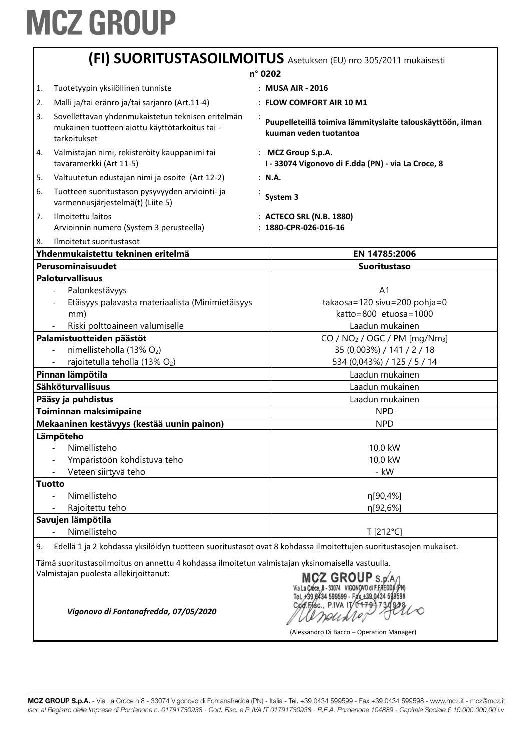|                                                                                                                        | (FI) SUORITUSTASOILMOITUS Asetuksen (EU) nro 305/2011 mukaisesti                                                                           |  |                                                                                      |  |
|------------------------------------------------------------------------------------------------------------------------|--------------------------------------------------------------------------------------------------------------------------------------------|--|--------------------------------------------------------------------------------------|--|
|                                                                                                                        | n° 0202                                                                                                                                    |  |                                                                                      |  |
| 1.                                                                                                                     | Tuotetyypin yksilöllinen tunniste                                                                                                          |  | : MUSA AIR - 2016                                                                    |  |
| 2.                                                                                                                     | Malli ja/tai eränro ja/tai sarjanro (Art.11-4)                                                                                             |  | : FLOW COMFORT AIR 10 M1                                                             |  |
| 3.                                                                                                                     | Sovellettavan yhdenmukaistetun teknisen eritelmän<br>mukainen tuotteen aiottu käyttötarkoitus tai -<br>tarkoitukset                        |  | Puupelleteillä toimiva lämmityslaite talouskäyttöön, ilman<br>kuuman veden tuotantoa |  |
| 4.                                                                                                                     | Valmistajan nimi, rekisteröity kauppanimi tai<br>tavaramerkki (Art 11-5)                                                                   |  | : MCZ Group S.p.A.<br>I - 33074 Vigonovo di F.dda (PN) - via La Croce, 8             |  |
| 5.                                                                                                                     | Valtuutetun edustajan nimi ja osoite (Art 12-2)                                                                                            |  | : N.A.                                                                               |  |
| 6.                                                                                                                     | Tuotteen suoritustason pysyvyyden arviointi- ja<br>varmennusjärjestelmä(t) (Liite 5)                                                       |  | System 3                                                                             |  |
| 7.                                                                                                                     | Ilmoitettu laitos<br>Arvioinnin numero (System 3 perusteella)                                                                              |  | : ACTECO SRL (N.B. 1880)<br>$: 1880$ -CPR-026-016-16                                 |  |
| 8.                                                                                                                     | Ilmoitetut suoritustasot                                                                                                                   |  |                                                                                      |  |
|                                                                                                                        | Yhdenmukaistettu tekninen eritelmä                                                                                                         |  | EN 14785:2006                                                                        |  |
|                                                                                                                        | Perusominaisuudet                                                                                                                          |  | <b>Suoritustaso</b>                                                                  |  |
|                                                                                                                        | <b>Paloturvallisuus</b>                                                                                                                    |  |                                                                                      |  |
|                                                                                                                        | Palonkestävyys                                                                                                                             |  | A <sub>1</sub>                                                                       |  |
|                                                                                                                        | Etäisyys palavasta materiaalista (Minimietäisyys                                                                                           |  | takaosa=120 sivu=200 pohja=0                                                         |  |
|                                                                                                                        | mm)                                                                                                                                        |  | katto=800 etuosa=1000                                                                |  |
| Riski polttoaineen valumiselle                                                                                         |                                                                                                                                            |  | Laadun mukainen                                                                      |  |
| Palamistuotteiden päästöt                                                                                              |                                                                                                                                            |  | CO / $NO2$ / OGC / PM [mg/Nm <sub>3</sub> ]                                          |  |
|                                                                                                                        | nimellisteholla (13% O2)                                                                                                                   |  | 35 (0,003%) / 141 / 2 / 18                                                           |  |
| rajoitetulla teholla (13% O2)                                                                                          |                                                                                                                                            |  | 534 (0,043%) / 125 / 5 / 14                                                          |  |
| Pinnan lämpötila                                                                                                       |                                                                                                                                            |  | Laadun mukainen                                                                      |  |
|                                                                                                                        | <b>Sähköturvallisuus</b>                                                                                                                   |  | Laadun mukainen                                                                      |  |
|                                                                                                                        | Pääsy ja puhdistus                                                                                                                         |  | Laadun mukainen                                                                      |  |
|                                                                                                                        | Toiminnan maksimipaine                                                                                                                     |  | <b>NPD</b>                                                                           |  |
|                                                                                                                        | Mekaaninen kestävyys (kestää uunin painon)                                                                                                 |  | <b>NPD</b>                                                                           |  |
|                                                                                                                        | Lämpöteho                                                                                                                                  |  |                                                                                      |  |
|                                                                                                                        | Nimellisteho                                                                                                                               |  | 10,0 kW                                                                              |  |
|                                                                                                                        | Ympäristöön kohdistuva teho                                                                                                                |  | 10,0 kW                                                                              |  |
|                                                                                                                        | Veteen siirtyvä teho                                                                                                                       |  | - kW                                                                                 |  |
|                                                                                                                        | <b>Tuotto</b>                                                                                                                              |  |                                                                                      |  |
|                                                                                                                        | Nimellisteho                                                                                                                               |  | η[90,4%]                                                                             |  |
|                                                                                                                        | Rajoitettu teho                                                                                                                            |  | η[92,6%]                                                                             |  |
|                                                                                                                        | Savujen lämpötila                                                                                                                          |  |                                                                                      |  |
|                                                                                                                        | Nimellisteho                                                                                                                               |  | T [212°C]                                                                            |  |
| Edellä 1 ja 2 kohdassa yksilöidyn tuotteen suoritustasot ovat 8 kohdassa ilmoitettujen suoritustasojen mukaiset.<br>9. |                                                                                                                                            |  |                                                                                      |  |
|                                                                                                                        | Tämä suoritustasoilmoitus on annettu 4 kohdassa ilmoitetun valmistajan yksinomaisella vastuulla.<br>Valmistajan puolesta allekirjoittanut: |  |                                                                                      |  |
|                                                                                                                        | $MCZ$ GROUP $s_{NAP}$                                                                                                                      |  |                                                                                      |  |

MCZ GROUP S.p.A)<br>Via La Croce, 8 - 33074 VIGONOVO di F.FREDDA (PN)<br>Tel. +39 8434 599599 - Fax +39 0434 599598<br>Cod. Fasc., P.IVA IT 04793730992 andino

(Alessandro Di Bacco – Operation Manager)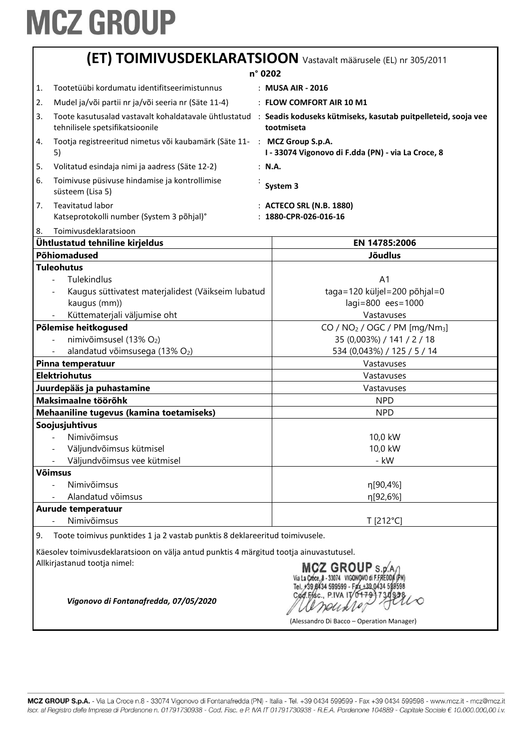|                                                                                                                                                   | (ET) TOIMIVUSDEKLARATSIOON Vastavalt määrusele (EL) nr 305/2011                                                                                                                                                             |                                                                                                                                   |  |
|---------------------------------------------------------------------------------------------------------------------------------------------------|-----------------------------------------------------------------------------------------------------------------------------------------------------------------------------------------------------------------------------|-----------------------------------------------------------------------------------------------------------------------------------|--|
| n° 0202                                                                                                                                           |                                                                                                                                                                                                                             |                                                                                                                                   |  |
| 1.                                                                                                                                                | Tootetüübi kordumatu identifitseerimistunnus                                                                                                                                                                                | : MUSA AIR - 2016                                                                                                                 |  |
| 2.                                                                                                                                                | Mudel ja/või partii nr ja/või seeria nr (Säte 11-4)                                                                                                                                                                         | : FLOW COMFORT AIR 10 M1                                                                                                          |  |
| 3.                                                                                                                                                | tehnilisele spetsifikatsioonile                                                                                                                                                                                             | Toote kasutusalad vastavalt kohaldatavale ühtlustatud : Seadis koduseks kütmiseks, kasutab puitpelleteid, sooja vee<br>tootmiseta |  |
| 4.                                                                                                                                                | Tootja registreeritud nimetus või kaubamärk (Säte 11- : MCZ Group S.p.A.<br>5)                                                                                                                                              | I - 33074 Vigonovo di F.dda (PN) - via La Croce, 8                                                                                |  |
| 5.                                                                                                                                                | Volitatud esindaja nimi ja aadress (Säte 12-2)                                                                                                                                                                              | : N.A.                                                                                                                            |  |
| 6.                                                                                                                                                | Toimivuse püsivuse hindamise ja kontrollimise<br>süsteem (Lisa 5)                                                                                                                                                           | System 3                                                                                                                          |  |
| 7.                                                                                                                                                | Teavitatud labor<br>Katseprotokolli number (System 3 põhjal)°                                                                                                                                                               | : ACTECO SRL (N.B. 1880)<br>: 1880-CPR-026-016-16                                                                                 |  |
| 8.                                                                                                                                                | Toimivusdeklaratsioon                                                                                                                                                                                                       |                                                                                                                                   |  |
|                                                                                                                                                   | Ühtlustatud tehniline kirjeldus                                                                                                                                                                                             | EN 14785:2006                                                                                                                     |  |
|                                                                                                                                                   | Põhiomadused                                                                                                                                                                                                                | <b>Jõudlus</b>                                                                                                                    |  |
|                                                                                                                                                   | <b>Tuleohutus</b><br>Tulekindlus<br>A <sub>1</sub><br>taga=120 küljel=200 põhjal=0<br>Kaugus süttivatest materjalidest (Väikseim lubatud<br>lagi=800 ees=1000<br>kaugus (mm))<br>Küttematerjali väljumise oht<br>Vastavuses |                                                                                                                                   |  |
| Põlemise heitkogused                                                                                                                              |                                                                                                                                                                                                                             | CO / NO <sub>2</sub> / OGC / PM [mg/Nm <sub>3</sub> ]                                                                             |  |
|                                                                                                                                                   | nimivõimsusel (13% O2)                                                                                                                                                                                                      | 35 (0,003%) / 141 / 2 / 18                                                                                                        |  |
|                                                                                                                                                   | alandatud võimsusega (13% O2)<br>Pinna temperatuur                                                                                                                                                                          | 534 (0,043%) / 125 / 5 / 14                                                                                                       |  |
|                                                                                                                                                   | Vastavuses                                                                                                                                                                                                                  |                                                                                                                                   |  |
|                                                                                                                                                   | <b>Elektriohutus</b><br>Vastavuses<br>Vastavuses                                                                                                                                                                            |                                                                                                                                   |  |
| Juurdepääs ja puhastamine<br>Maksimaalne töörõhk                                                                                                  |                                                                                                                                                                                                                             | <b>NPD</b>                                                                                                                        |  |
| Mehaaniline tugevus (kamina toetamiseks)                                                                                                          |                                                                                                                                                                                                                             | <b>NPD</b>                                                                                                                        |  |
|                                                                                                                                                   | Soojusjuhtivus                                                                                                                                                                                                              |                                                                                                                                   |  |
|                                                                                                                                                   | Nimivõimsus                                                                                                                                                                                                                 | 10,0 kW                                                                                                                           |  |
|                                                                                                                                                   | Väljundvõimsus kütmisel                                                                                                                                                                                                     | 10,0 kW                                                                                                                           |  |
|                                                                                                                                                   | Väljundvõimsus vee kütmisel                                                                                                                                                                                                 | - kW                                                                                                                              |  |
|                                                                                                                                                   | <b>Võimsus</b>                                                                                                                                                                                                              |                                                                                                                                   |  |
|                                                                                                                                                   | Nimivõimsus                                                                                                                                                                                                                 | η[90,4%]                                                                                                                          |  |
|                                                                                                                                                   | Alandatud võimsus                                                                                                                                                                                                           | η[92,6%]                                                                                                                          |  |
|                                                                                                                                                   | Aurude temperatuur                                                                                                                                                                                                          |                                                                                                                                   |  |
|                                                                                                                                                   | Nimivõimsus                                                                                                                                                                                                                 | T [212°C]                                                                                                                         |  |
| 9.                                                                                                                                                | Toote toimivus punktides 1 ja 2 vastab punktis 8 deklareeritud toimivusele.                                                                                                                                                 |                                                                                                                                   |  |
|                                                                                                                                                   | Käesolev toimivusdeklaratsioon on välja antud punktis 4 märgitud tootja ainuvastutusel.                                                                                                                                     |                                                                                                                                   |  |
| Allkirjastanud tootja nimel:<br>$2$ GROUP $\mathsf{s}$ . of<br>Vigonovo di Fontanafredda, 07/05/2020<br>(Alessandro Di Bacco - Operation Manager) |                                                                                                                                                                                                                             |                                                                                                                                   |  |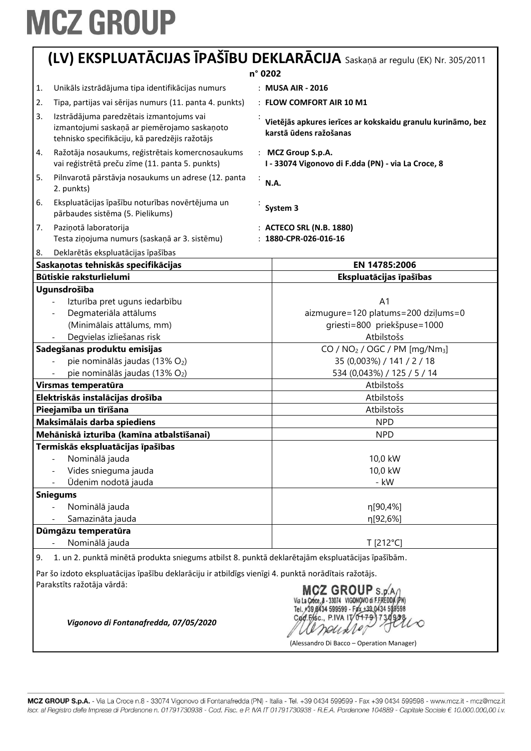|                                  | (LV) EKSPLUATĀCIJAS ĪPAŠĪBU DEKLARĀCIJA Saskaņā ar regulu (EK) Nr. 305/2011                          |                                                                                                                                |  |
|----------------------------------|------------------------------------------------------------------------------------------------------|--------------------------------------------------------------------------------------------------------------------------------|--|
| n° 0202                          |                                                                                                      |                                                                                                                                |  |
| 1.                               | Unikāls izstrādājuma tipa identifikācijas numurs                                                     | : MUSA AIR - 2016                                                                                                              |  |
| 2.                               | Tipa, partijas vai sērijas numurs (11. panta 4. punkts)                                              | : FLOW COMFORT AIR 10 M1                                                                                                       |  |
| 3.                               | Izstrādājuma paredzētais izmantojums vai                                                             |                                                                                                                                |  |
|                                  | izmantojumi saskaņā ar piemērojamo saskaņoto<br>tehnisko specifikāciju, kā paredzējis ražotājs       | Vietējās apkures ierīces ar kokskaidu granulu kurināmo, bez<br>karstā ūdens ražošanas                                          |  |
| 4.                               | Ražotāja nosaukums, reģistrētais komercnosaukums<br>vai reģistrētā preču zīme (11. panta 5. punkts)  | : MCZ Group S.p.A.<br>I - 33074 Vigonovo di F.dda (PN) - via La Croce, 8                                                       |  |
| 5.                               | Pilnvarotā pārstāvja nosaukums un adrese (12. panta<br>÷<br>2. punkts)                               | N.A.                                                                                                                           |  |
| 6.                               | Ekspluatācijas īpašību noturības novērtējuma un<br>pārbaudes sistēma (5. Pielikums)                  | System 3                                                                                                                       |  |
| 7.                               | Paziņotā laboratorija                                                                                | : ACTECO SRL (N.B. 1880)                                                                                                       |  |
|                                  | Testa ziņojuma numurs (saskaņā ar 3. sistēmu)                                                        | $: 1880$ -CPR-026-016-16                                                                                                       |  |
| 8.                               | Deklarētās ekspluatācijas īpašības                                                                   |                                                                                                                                |  |
|                                  | Saskaņotas tehniskās specifikācijas                                                                  | EN 14785:2006                                                                                                                  |  |
|                                  | Būtiskie raksturlielumi                                                                              | Ekspluatācijas īpašības                                                                                                        |  |
|                                  | Ugunsdrošība                                                                                         |                                                                                                                                |  |
|                                  | Izturība pret uguns iedarbību                                                                        | A <sub>1</sub>                                                                                                                 |  |
|                                  | Degmateriāla attālums                                                                                | aizmugure=120 platums=200 dziļums=0                                                                                            |  |
|                                  | (Minimālais attālums, mm)                                                                            | griesti=800 priekšpuse=1000                                                                                                    |  |
|                                  | Degvielas izliešanas risk                                                                            | Atbilstošs                                                                                                                     |  |
|                                  | Sadegšanas produktu emisijas                                                                         | CO / $NO2$ / OGC / PM [mg/Nm <sub>3</sub> ]                                                                                    |  |
|                                  | pie nominālās jaudas (13% O2)                                                                        | 35 (0,003%) / 141 / 2 / 18                                                                                                     |  |
|                                  | pie nominālās jaudas (13% O2)                                                                        | 534 (0,043%) / 125 / 5 / 14                                                                                                    |  |
| Virsmas temperatūra              |                                                                                                      | Atbilstošs                                                                                                                     |  |
| Elektriskās instalācijas drošība |                                                                                                      | Atbilstošs                                                                                                                     |  |
|                                  | Pieejamība un tīrīšana                                                                               | Atbilstošs                                                                                                                     |  |
|                                  | Maksimālais darba spiediens                                                                          | <b>NPD</b>                                                                                                                     |  |
|                                  | Mehāniskā izturība (kamīna atbalstīšanai)                                                            | <b>NPD</b>                                                                                                                     |  |
|                                  | Termiskās ekspluatācijas īpašības                                                                    |                                                                                                                                |  |
|                                  | Nominālā jauda                                                                                       | 10,0 kW                                                                                                                        |  |
|                                  | Vides snieguma jauda                                                                                 | 10,0 kW                                                                                                                        |  |
|                                  | Ūdenim nodotā jauda                                                                                  | - kW                                                                                                                           |  |
|                                  | <b>Sniegums</b>                                                                                      |                                                                                                                                |  |
|                                  | Nominālā jauda<br>Samazināta jauda                                                                   | η[90,4%]<br>η[92,6%]                                                                                                           |  |
|                                  | Dūmgāzu temperatūra                                                                                  |                                                                                                                                |  |
|                                  | Nominālā jauda                                                                                       | T [212°C]                                                                                                                      |  |
| 9.                               | 1. un 2. punktā minētā produkta sniegums atbilst 8. punktā deklarētajām ekspluatācijas īpašībām.     |                                                                                                                                |  |
|                                  | Par šo izdoto ekspluatācijas īpašību deklarāciju ir atbildīgs vienīgi 4. punktā norādītais ražotājs. |                                                                                                                                |  |
|                                  | Parakstīts ražotāja vārdā:<br>Vigonovo di Fontanafredda, 07/05/2020                                  | <b>MCZ GROUP</b> S.p<br>39 0434 599599 - Fax ±39 0434 59<br>Cod.Fisc., P.IVA IT/0<br>(Alessandro Di Bacco - Operation Manager) |  |

MCZ GROUP S.p.A. - Via La Croce n.8 - 33074 Vigonovo di Fontanafredda (PN) - Italia - Tel. +39 0434 599599 - Fax +39 0434 599598 - www.mcz.it - mcz@mcz.it Iscr. al Registro delle Imprese di Pordenone n. 01791730938 - Cod. Fisc. e P. IVA IT 01791730938 - R.E.A. Pordenone 104889 - Capitale Sociale € 10.000.000,00 i.v.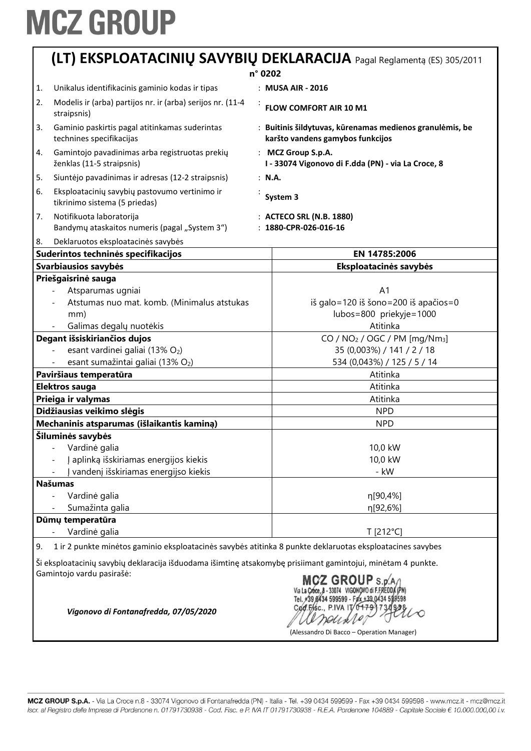|    | (LT) EKSPLOATACINIŲ SAVYBIŲ DEKLARACIJA Pagal Reglamentą (ES) 305/2011                                                                                                                                                    |  |                                                                                               |  |
|----|---------------------------------------------------------------------------------------------------------------------------------------------------------------------------------------------------------------------------|--|-----------------------------------------------------------------------------------------------|--|
|    |                                                                                                                                                                                                                           |  | n° 0202                                                                                       |  |
| 1. | Unikalus identifikacinis gaminio kodas ir tipas                                                                                                                                                                           |  | : MUSA AIR - 2016                                                                             |  |
| 2. | Modelis ir (arba) partijos nr. ir (arba) serijos nr. (11-4<br>straipsnis)                                                                                                                                                 |  | <b>FLOW COMFORT AIR 10 M1</b>                                                                 |  |
| 3. | Gaminio paskirtis pagal atitinkamas suderintas<br>technines specifikacijas                                                                                                                                                |  | : Buitinis šildytuvas, kūrenamas medienos granulėmis, be<br>karšto vandens gamybos funkcijos  |  |
| 4. | Gamintojo pavadinimas arba registruotas prekių<br>ženklas (11-5 straipsnis)                                                                                                                                               |  | : MCZ Group S.p.A.<br>I - 33074 Vigonovo di F.dda (PN) - via La Croce, 8                      |  |
| 5. | Siuntėjo pavadinimas ir adresas (12-2 straipsnis)                                                                                                                                                                         |  | : N.A.                                                                                        |  |
| 6. | Eksploatacinių savybių pastovumo vertinimo ir<br>tikrinimo sistema (5 priedas)                                                                                                                                            |  | System 3                                                                                      |  |
| 7. | Notifikuota laboratorija<br>Bandymų ataskaitos numeris (pagal "System 3")                                                                                                                                                 |  | : ACTECO SRL (N.B. 1880)<br>: 1880-CPR-026-016-16                                             |  |
| 8. | Deklaruotos eksploatacinės savybės                                                                                                                                                                                        |  |                                                                                               |  |
|    | Suderintos techninės specifikacijos                                                                                                                                                                                       |  | EN 14785:2006                                                                                 |  |
|    | Svarbiausios savybės                                                                                                                                                                                                      |  | Eksploatacinės savybės                                                                        |  |
|    | Priešgaisrinė sauga<br>Atsparumas ugniai<br>Atstumas nuo mat. komb. (Minimalus atstukas<br>mm)<br>Galimas degalų nuotėkis                                                                                                 |  | A <sub>1</sub><br>iš galo=120 iš šono=200 iš apačios=0<br>lubos=800 priekyje=1000<br>Atitinka |  |
|    | Degant išsiskiriančios dujos                                                                                                                                                                                              |  | CO / $NO2$ / OGC / PM [mg/Nm <sub>3</sub> ]                                                   |  |
|    | esant vardinei galiai (13% O2)                                                                                                                                                                                            |  | 35 (0,003%) / 141 / 2 / 18                                                                    |  |
|    | esant sumažintai galiai (13% O2)                                                                                                                                                                                          |  | 534 (0,043%) / 125 / 5 / 14                                                                   |  |
|    | Paviršiaus temperatūra                                                                                                                                                                                                    |  | Atitinka                                                                                      |  |
|    | Elektros sauga                                                                                                                                                                                                            |  | Atitinka                                                                                      |  |
|    | Prieiga ir valymas                                                                                                                                                                                                        |  | Atitinka                                                                                      |  |
|    | Didžiausias veikimo slėgis                                                                                                                                                                                                |  | <b>NPD</b>                                                                                    |  |
|    | Mechaninis atsparumas (išlaikantis kaminą)                                                                                                                                                                                |  | <b>NPD</b>                                                                                    |  |
|    | Šiluminės savybės<br>Vardinė galia<br>Į aplinką išskiriamas energijos kiekis<br>vandenį išskiriamas energijso kiekis                                                                                                      |  | 10,0 kW<br>10,0 kW<br>- kW                                                                    |  |
|    | <b>Našumas</b>                                                                                                                                                                                                            |  |                                                                                               |  |
|    | Vardinė galia<br>Sumažinta galia                                                                                                                                                                                          |  | n[90,4%]<br>η[92,6%]                                                                          |  |
|    | Dūmų temperatūra                                                                                                                                                                                                          |  |                                                                                               |  |
|    | Vardinė galia                                                                                                                                                                                                             |  | T [212°C]                                                                                     |  |
| 9. | 1 ir 2 punkte minėtos gaminio eksploatacinės savybės atitinka 8 punkte deklaruotas eksploatacines savybes<br>Ši eksploatacinių savybių deklaracija išduodama išimtinę atsakomybę prisiimant gamintojui, minėtam 4 punkte. |  |                                                                                               |  |
|    | Gamintojo vardu pasirašė:<br>$M2$ CDOUD. $/$                                                                                                                                                                              |  |                                                                                               |  |

arounder-

(Alessandro Di Bacco – Operation Manager)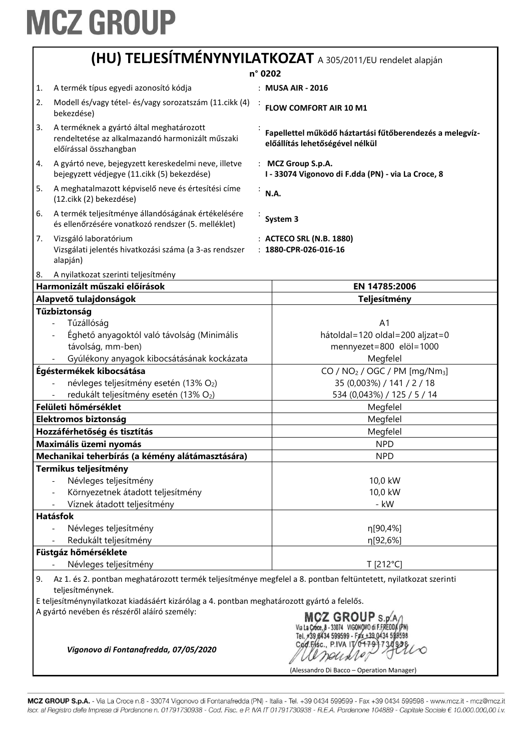#### **(HU) TELJESÍTMÉNYNYILATKOZAT** A 305/2011/EU rendelet alapján

|    | n° 0202                                                                                                                             |  |                                                                                             |
|----|-------------------------------------------------------------------------------------------------------------------------------------|--|---------------------------------------------------------------------------------------------|
| 1. | A termék típus egyedi azonosító kódja                                                                                               |  | : MUSA AIR - 2016                                                                           |
| 2. | Modell és/vagy tétel- és/vagy sorozatszám (11. cikk (4)                                                                             |  |                                                                                             |
|    | bekezdése)                                                                                                                          |  | FLOW COMFORT AIR 10 M1                                                                      |
| 3. | A terméknek a gyártó által meghatározott<br>rendeltetése az alkalmazandó harmonizált műszaki<br>előírással összhangban              |  | Fapellettel működő háztartási fűtőberendezés a melegvíz-<br>előállítás lehetőségével nélkül |
| 4. | A gyártó neve, bejegyzett kereskedelmi neve, illetve<br>bejegyzett védjegye (11. cikk (5) bekezdése)                                |  | : MCZ Group S.p.A.<br>I - 33074 Vigonovo di F.dda (PN) - via La Croce, 8                    |
| 5. | A meghatalmazott képviselő neve és értesítési címe<br>(12.cikk (2) bekezdése)                                                       |  | <b>N.A.</b>                                                                                 |
| 6. | A termék teljesítménye állandóságának értékelésére<br>és ellenőrzésére vonatkozó rendszer (5. melléklet)                            |  | System 3                                                                                    |
| 7. | Vizsgáló laboratórium<br>Vizsgálati jelentés hivatkozási száma (a 3-as rendszer<br>alapján)                                         |  | : ACTECO SRL (N.B. 1880)<br>: 1880-CPR-026-016-16                                           |
| 8. | A nyilatkozat szerinti teljesítmény                                                                                                 |  |                                                                                             |
|    | Harmonizált műszaki előírások                                                                                                       |  | EN 14785:2006                                                                               |
|    | Alapvető tulajdonságok<br>Tűzbiztonság                                                                                              |  | Teljesítmény                                                                                |
|    | Tűzállóság                                                                                                                          |  | A <sub>1</sub>                                                                              |
|    | Éghető anyagoktól való távolság (Minimális                                                                                          |  | hátoldal=120 oldal=200 aljzat=0                                                             |
|    | távolság, mm-ben)                                                                                                                   |  | mennyezet=800 elöl=1000                                                                     |
|    | Gyúlékony anyagok kibocsátásának kockázata                                                                                          |  | Megfelel                                                                                    |
|    | Égéstermékek kibocsátása                                                                                                            |  | $CO / NO2 / OGC / PM [mg/Nm3]$                                                              |
|    | névleges teljesítmény esetén (13% O2)                                                                                               |  | 35 (0,003%) / 141 / 2 / 18                                                                  |
|    | redukált teljesítmény esetén (13% O2)                                                                                               |  | 534 (0,043%) / 125 / 5 / 14                                                                 |
|    | Felületi hőmérséklet                                                                                                                |  | Megfelel                                                                                    |
|    | Elektromos biztonság                                                                                                                |  | Megfelel                                                                                    |
|    | Hozzáférhetőség és tisztítás                                                                                                        |  | Megfelel                                                                                    |
|    | Maximális üzemi nyomás                                                                                                              |  | <b>NPD</b>                                                                                  |
|    | Mechanikai teherbírás (a kémény alátámasztására)                                                                                    |  | <b>NPD</b>                                                                                  |
|    | Termikus teljesítmény                                                                                                               |  |                                                                                             |
|    | Névleges teljesítmény                                                                                                               |  | 10,0 kW                                                                                     |
|    | Környezetnek átadott teljesítmény                                                                                                   |  | 10,0 kW                                                                                     |
|    | Víznek átadott teljesítmény                                                                                                         |  | - kW                                                                                        |
|    | Hatásfok                                                                                                                            |  |                                                                                             |
|    | Névleges teljesítmény                                                                                                               |  | η[90,4%]                                                                                    |
|    | Redukált teljesítmény                                                                                                               |  | η[92,6%]                                                                                    |
|    | Füstgáz hőmérséklete                                                                                                                |  |                                                                                             |
|    | Névleges teljesítmény                                                                                                               |  | T [212°C]                                                                                   |
| 9. | Az 1. és 2. pontban meghatározott termék teljesítménye megfelel a 8. pontban feltüntetett, nyilatkozat szerinti<br>teljesítménynek. |  |                                                                                             |
|    | E teljesítménynyilatkozat kiadásáért kizárólag a 4. pontban meghatározott gyártó a felelős.                                         |  |                                                                                             |
|    | A gyártó nevében és részéről aláíró személy:<br>Vigonovo di Fontanafredda, 07/05/2020                                               |  | <b>MCZ GROUP S.p</b><br>Cod.Fisc., P.IVA IT/0                                               |
|    |                                                                                                                                     |  | (Alessandro Di Bacco - Operation Manager)                                                   |

MCZ GROUP S.p.A. - Via La Croce n.8 - 33074 Vigonovo di Fontanafredda (PN) - Italia - Tel. +39 0434 599599 - Fax +39 0434 599598 - www.mcz.it - mcz@mcz.it Iscr. al Registro delle Imprese di Pordenone n. 01791730938 - Cod. Fisc. e P. IVA IT 01791730938 - R.E.A. Pordenone 104889 - Capitale Sociale € 10.000.000,00 i.v.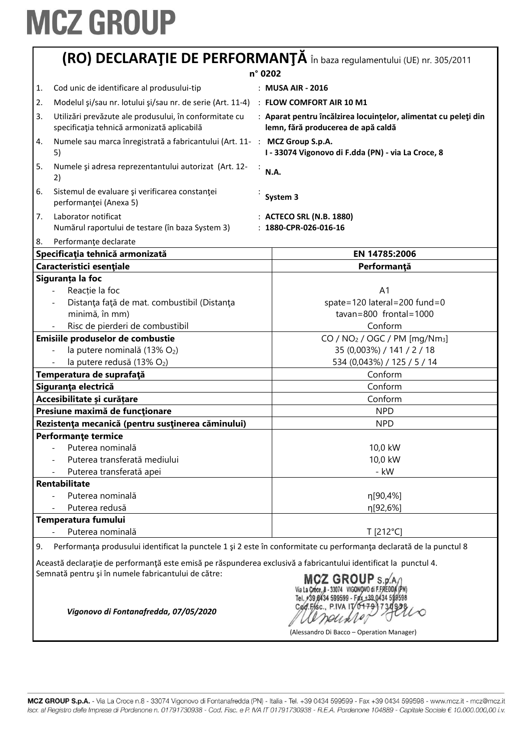| (RO) DECLARAȚIE DE PERFORMANȚĂ în baza regulamentului (UE) nr. 305/2011                                    |                                                                                                                     |  |  |  |
|------------------------------------------------------------------------------------------------------------|---------------------------------------------------------------------------------------------------------------------|--|--|--|
|                                                                                                            | n° 0202                                                                                                             |  |  |  |
| Cod unic de identificare al produsului-tip<br>1.                                                           | : MUSA AIR - 2016                                                                                                   |  |  |  |
| Modelul şi/sau nr. lotului şi/sau nr. de serie (Art. 11-4) : FLOW COMFORT AIR 10 M1<br>2.                  |                                                                                                                     |  |  |  |
| Utilizări prevăzute ale produsului, în conformitate cu<br>3.<br>specificația tehnică armonizată aplicabilă | : Aparat pentru încălzirea locuințelor, alimentat cu peleți din<br>lemn, fără producerea de apă caldă               |  |  |  |
| Numele sau marca înregistrată a fabricantului (Art. 11- : MCZ Group S.p.A.<br>4.<br>5)                     | I - 33074 Vigonovo di F.dda (PN) - via La Croce, 8                                                                  |  |  |  |
| 5.<br>Numele și adresa reprezentantului autorizat (Art. 12-<br>2)                                          | N.A.                                                                                                                |  |  |  |
| Sistemul de evaluare și verificarea constanței<br>6.<br>performanței (Anexa 5)                             | System 3                                                                                                            |  |  |  |
| Laborator notificat<br>7.<br>Numărul raportului de testare (în baza System 3)                              | : ACTECO SRL (N.B. 1880)<br>: 1880-CPR-026-016-16                                                                   |  |  |  |
| Performanțe declarate<br>8.                                                                                |                                                                                                                     |  |  |  |
| Specificația tehnică armonizată                                                                            | EN 14785:2006                                                                                                       |  |  |  |
| Caracteristici esențiale                                                                                   | Performanță                                                                                                         |  |  |  |
| Siguranța la foc                                                                                           |                                                                                                                     |  |  |  |
| Reacție la foc                                                                                             | A <sub>1</sub>                                                                                                      |  |  |  |
| Distanța față de mat. combustibil (Distanța                                                                | spate=120 lateral=200 fund=0                                                                                        |  |  |  |
| minimă, în mm)                                                                                             | $tavan=800$ frontal = 1000                                                                                          |  |  |  |
| Risc de pierderi de combustibil                                                                            | Conform                                                                                                             |  |  |  |
| Emisiile produselor de combustie                                                                           | CO / $NO2$ / OGC / PM [mg/Nm <sub>3</sub> ]                                                                         |  |  |  |
| la putere nominală (13% O2)                                                                                | 35 (0,003%) / 141 / 2 / 18                                                                                          |  |  |  |
| la putere redusă (13% O2)                                                                                  | 534 (0,043%) / 125 / 5 / 14                                                                                         |  |  |  |
| Temperatura de suprafață                                                                                   | Conform                                                                                                             |  |  |  |
| Siguranța electrică                                                                                        | Conform                                                                                                             |  |  |  |
| Accesibilitate și curățare                                                                                 | Conform                                                                                                             |  |  |  |
| Presiune maximă de funcționare                                                                             | <b>NPD</b>                                                                                                          |  |  |  |
| Rezistența mecanică (pentru susținerea căminului)                                                          | <b>NPD</b>                                                                                                          |  |  |  |
| <b>Performante termice</b>                                                                                 |                                                                                                                     |  |  |  |
| Puterea nominală                                                                                           | 10,0 kW                                                                                                             |  |  |  |
| Puterea transferată mediului                                                                               | 10,0 kW                                                                                                             |  |  |  |
| Puterea transferată apei                                                                                   | - kW                                                                                                                |  |  |  |
| <b>Rentabilitate</b>                                                                                       |                                                                                                                     |  |  |  |
| Puterea nominală                                                                                           | η[90,4%]                                                                                                            |  |  |  |
| Puterea redusă                                                                                             | η[92,6%]                                                                                                            |  |  |  |
| Temperatura fumului                                                                                        |                                                                                                                     |  |  |  |
| Puterea nominală                                                                                           | T [212°C]                                                                                                           |  |  |  |
| 9.                                                                                                         | Performanța produsului identificat la punctele 1 și 2 este în conformitate cu performanța declarată de la punctul 8 |  |  |  |
|                                                                                                            |                                                                                                                     |  |  |  |

Această declarație de performanță este emisă pe răspunderea exclusivă a fabricantului identificat la punctul 4.<br>
Semnată pentru și în numele fabricantului de către:<br>
Wala Chee, 3-33074 VIGONQVO di FFREDDA (PN)<br>
Viaconovo Semnată pentru şi în numele fabricantului de către:

alemarinos

(Alessandro Di Bacco – Operation Manager)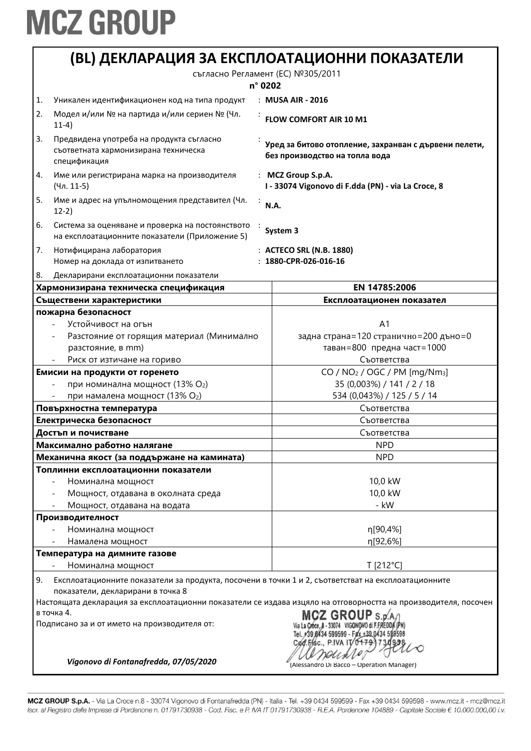|    |                                                                                                                                          | (BL) ДЕКЛАРАЦИЯ ЗА ЕКСПЛОАТАЦИОННИ ПОКАЗАТЕЛИ                                                                   |  |
|----|------------------------------------------------------------------------------------------------------------------------------------------|-----------------------------------------------------------------------------------------------------------------|--|
|    | съгласно Регламент (ЕС) №305/2011                                                                                                        |                                                                                                                 |  |
|    |                                                                                                                                          | n° 0202                                                                                                         |  |
| 1. | Уникален идентификационен код на типа продукт                                                                                            | : MUSA AIR - 2016                                                                                               |  |
| 2. | Модел и/или № на партида и/или сериен № (Чл.<br>$11-4)$                                                                                  | FLOW COMFORT AIR 10 M1                                                                                          |  |
| 3. | Предвидена употреба на продукта съгласно<br>съответната хармонизирана техническа<br>спецификация                                         | Уред за битово отопление, захранван с дървени пелети,<br>без производство на топла вода                         |  |
| 4. | Име или регистрирана марка на производителя<br>(Чл. 11-5)                                                                                | : MCZ Group S.p.A.<br>I - 33074 Vigonovo di F.dda (PN) - via La Croce, 8                                        |  |
| 5. | Име и адрес на упълномощения представител (Чл.<br>$12-2)$                                                                                | N.A.                                                                                                            |  |
| 6. | Система за оценяване и проверка на постоянството<br>на експлоатационните показатели (Приложение 5)                                       | System 3                                                                                                        |  |
| 7. | Нотифицирана лаборатория                                                                                                                 | : ACTECO SRL (N.B. 1880)                                                                                        |  |
|    | Номер на доклада от изпитването                                                                                                          | $: 1880$ -CPR-026-016-16                                                                                        |  |
| 8. | Декларирани експлоатационни показатели                                                                                                   |                                                                                                                 |  |
|    | Хармонизирана техническа спецификация                                                                                                    | EN 14785:2006                                                                                                   |  |
|    | Съществени характеристики                                                                                                                | Експлоатационен показател                                                                                       |  |
|    | пожарна безопасност                                                                                                                      |                                                                                                                 |  |
|    | Устойчивост на огън                                                                                                                      | A <sub>1</sub><br>задна страна=120 странично=200 дъно=0                                                         |  |
|    | Разстояние от горящия материал (Минимално<br>разстояние, в mm)                                                                           | таван=800 предна част=1000                                                                                      |  |
|    | Риск от изтичане на гориво                                                                                                               | Съответства                                                                                                     |  |
|    | Емисии на продукти от горенето                                                                                                           | $CO / NO2 / OGC / PM [mg/Nm3]$                                                                                  |  |
|    | при номинална мощност (13% О2)                                                                                                           | 35 (0,003%) / 141 / 2 / 18                                                                                      |  |
|    | при намалена мощност (13% О2)                                                                                                            | 534 (0,043%) / 125 / 5 / 14                                                                                     |  |
|    | Повърхностна температура                                                                                                                 | Съответства                                                                                                     |  |
|    | Електрическа безопасност                                                                                                                 | Съответства                                                                                                     |  |
|    | Достъп и почистване                                                                                                                      | Съответства                                                                                                     |  |
|    | Максимално работно налягане                                                                                                              | <b>NPD</b>                                                                                                      |  |
|    |                                                                                                                                          | <b>NPD</b>                                                                                                      |  |
|    | Механична якост (за поддържане на камината)<br>Топлинни експлоатационни показатели                                                       |                                                                                                                 |  |
|    | Номинална мощност                                                                                                                        | 10,0 kW                                                                                                         |  |
|    |                                                                                                                                          | 10,0 kW                                                                                                         |  |
|    | Мощност, отдавана в околната среда<br>Мощност, отдавана на водата                                                                        | - kW                                                                                                            |  |
|    | Производителност                                                                                                                         |                                                                                                                 |  |
|    | Номинална мощност                                                                                                                        | n[90,4%]                                                                                                        |  |
|    | Намалена мощност                                                                                                                         | n[92,6%]                                                                                                        |  |
|    | Температура на димните газове                                                                                                            |                                                                                                                 |  |
|    | Номинална мощност                                                                                                                        | T [212°C]                                                                                                       |  |
| 9. | Експлоатационните показатели за продукта, посочени в точки 1 и 2, съответстват на експлоатационните<br>показатели, декларирани в точка 8 |                                                                                                                 |  |
|    |                                                                                                                                          | Настоящата декларация за експлоатационни показатели се издава изцяло на отговорността на производителя, посочен |  |
|    | в точка 4.                                                                                                                               |                                                                                                                 |  |
|    | Подписано за и от името на производителя от:                                                                                             | Cad.Fisc., P.IVA IV                                                                                             |  |
|    | Vigonovo di Fontanafredda, 07/05/2020                                                                                                    | (Alessandro Di Bacco - Operation Manager)                                                                       |  |

MCZ GROUP S.p.A. - Via La Croce n.8 - 33074 Vigonovo di Fontanafredda (PN) - Italia - Tel. +39 0434 599599 - Fax +39 0434 599598 - www.mcz.it - mcz@mcz.it Iscr. al Registro delle Imprese di Pordenone n. 01791730938 - Cod. Fisc. e P. IVA IT 01791730938 - R.E.A. Pordenone 104889 - Capitale Sociale € 10.000.000,00 i.v.